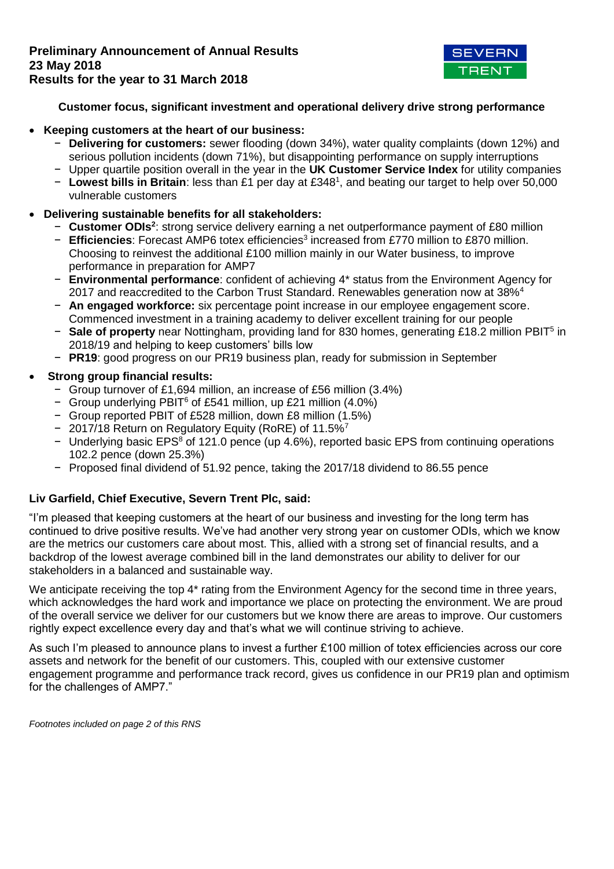

# **Customer focus, significant investment and operational delivery drive strong performance**

## **Keeping customers at the heart of our business:**

- − **Delivering for customers:** sewer flooding (down 34%), water quality complaints (down 12%) and serious pollution incidents (down 71%), but disappointing performance on supply interruptions
- − Upper quartile position overall in the year in the **UK Customer Service Index** for utility companies
- − **Lowest bills in Britain**: less than £1 per day at £348<sup>1</sup> , and beating our target to help over 50,000 vulnerable customers

# **Delivering sustainable benefits for all stakeholders:**

- − **Customer ODIs<sup>2</sup>** : strong service delivery earning a net outperformance payment of £80 million
- − Efficiencies: Forecast AMP6 totex efficiencies<sup>3</sup> increased from £770 million to £870 million. Choosing to reinvest the additional £100 million mainly in our Water business, to improve performance in preparation for AMP7
- − **Environmental performance**: confident of achieving 4\* status from the Environment Agency for 2017 and reaccredited to the Carbon Trust Standard. Renewables generation now at 38%<sup>4</sup>
- − **An engaged workforce:** six percentage point increase in our employee engagement score. Commenced investment in a training academy to deliver excellent training for our people
- − Sale of property near Nottingham, providing land for 830 homes, generating £18.2 million PBIT<sup>5</sup> in 2018/19 and helping to keep customers' bills low
- − **PR19**: good progress on our PR19 business plan, ready for submission in September

# **Strong group financial results:**

- − Group turnover of £1,694 million, an increase of £56 million (3.4%)
- − Group underlying PBIT<sup>6</sup> of £541 million, up £21 million (4.0%)
- − Group reported PBIT of £528 million, down £8 million (1.5%)
- − 2017/18 Return on Regulatory Equity (RoRE) of 11.5%<sup>7</sup>
- − Underlying basic EPS<sup>8</sup> of 121.0 pence (up 4.6%), reported basic EPS from continuing operations 102.2 pence (down 25.3%)
- − Proposed final dividend of 51.92 pence, taking the 2017/18 dividend to 86.55 pence

# **Liv Garfield, Chief Executive, Severn Trent Plc, said:**

"I'm pleased that keeping customers at the heart of our business and investing for the long term has continued to drive positive results. We've had another very strong year on customer ODIs, which we know are the metrics our customers care about most. This, allied with a strong set of financial results, and a backdrop of the lowest average combined bill in the land demonstrates our ability to deliver for our stakeholders in a balanced and sustainable way.

We anticipate receiving the top 4<sup>\*</sup> rating from the Environment Agency for the second time in three years, which acknowledges the hard work and importance we place on protecting the environment. We are proud of the overall service we deliver for our customers but we know there are areas to improve. Our customers rightly expect excellence every day and that's what we will continue striving to achieve.

As such I'm pleased to announce plans to invest a further £100 million of totex efficiencies across our core assets and network for the benefit of our customers. This, coupled with our extensive customer engagement programme and performance track record, gives us confidence in our PR19 plan and optimism for the challenges of AMP7."

*Footnotes included on page 2 of this RNS*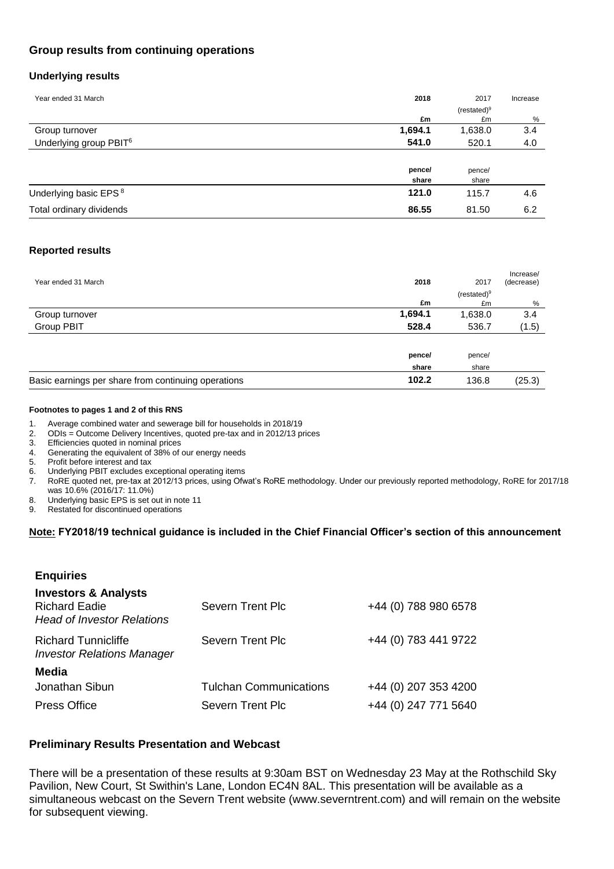# **Group results from continuing operations**

## **Underlying results**

| Year ended 31 March                | 2018    | 2017          | Increase |
|------------------------------------|---------|---------------|----------|
|                                    |         | $(resated)^9$ |          |
|                                    | £m      | £m            | %        |
| Group turnover                     | 1,694.1 | 1,638.0       | 3.4      |
| Underlying group PBIT <sup>6</sup> | 541.0   | 520.1         | 4.0      |
|                                    |         |               |          |
|                                    | pence/  | pence/        |          |
|                                    | share   | share         |          |
| Underlying basic EPS <sup>8</sup>  | 121.0   | 115.7         | 4.6      |
| Total ordinary dividends           | 86.55   | 81.50         | 6.2      |

## **Reported results**

| 2018<br>Year ended 31 March<br>2017                                   | Increase/<br>(decrease) |
|-----------------------------------------------------------------------|-------------------------|
| (re stated) <sup>9</sup>                                              |                         |
| £m<br>£m                                                              | %                       |
| 1,694.1<br>1,638.0<br>Group turnover                                  | 3.4                     |
| 528.4<br>Group PBIT<br>536.7                                          | (1.5)                   |
|                                                                       |                         |
| pence/<br>pence/                                                      |                         |
| share<br>share                                                        |                         |
| 102.2<br>Basic earnings per share from continuing operations<br>136.8 | (25.3)                  |

#### **Footnotes to pages 1 and 2 of this RNS**

- 1. Average combined water and sewerage bill for households in 2018/19
- 2. ODIs = Outcome Delivery Incentives, quoted pre-tax and in 2012/13 prices
- 3. Efficiencies quoted in nominal prices<br>4. Generating the equivalent of 38% of
- 4. Generating the equivalent of 38% of our energy needs
- 5. Profit before interest and tax

**Enquiries**

- 6. Underlying PBIT excludes exceptional operating items
- 7. RoRE quoted net, pre-tax at 2012/13 prices, using Ofwat's RoRE methodology. Under our previously reported methodology, RoRE for 2017/18 was 10.6% (2016/17: 11.0%)
- 8. Underlying basic EPS is set out in note 11
- 9. Restated for discontinued operations

## **Note: FY2018/19 technical guidance is included in the Chief Financial Officer's section of this announcement**

| Severn Trent Plc              | +44 (0) 788 980 6578 |
|-------------------------------|----------------------|
| Severn Trent Plc              | +44 (0) 783 441 9722 |
|                               |                      |
| <b>Tulchan Communications</b> | +44 (0) 207 353 4200 |
| <b>Severn Trent Plc</b>       | +44 (0) 247 771 5640 |
|                               |                      |

## **Preliminary Results Presentation and Webcast**

There will be a presentation of these results at 9:30am BST on Wednesday 23 May at the Rothschild Sky Pavilion, New Court, St Swithin's Lane, London EC4N 8AL. This presentation will be available as a simultaneous webcast on the Severn Trent website (www.severntrent.com) and will remain on the website for subsequent viewing.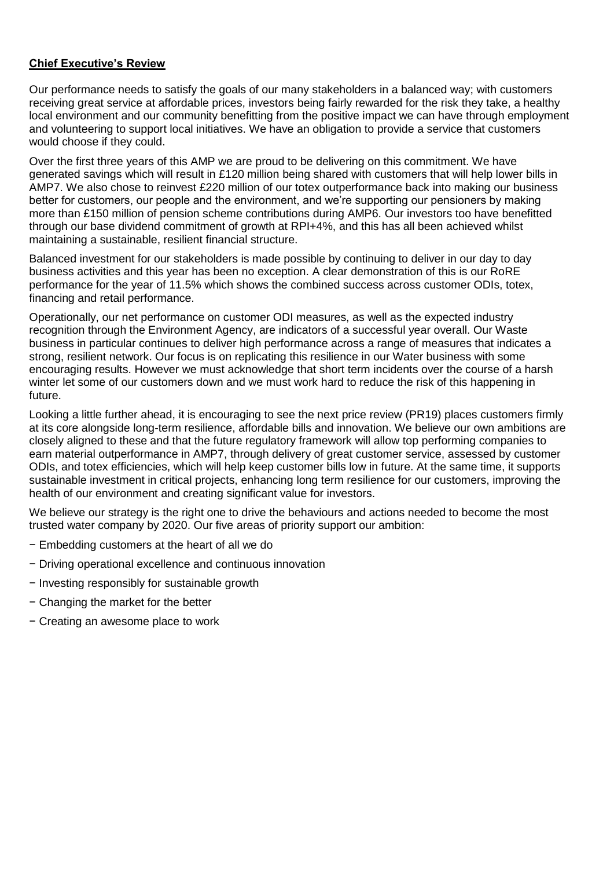# **Chief Executive's Review**

Our performance needs to satisfy the goals of our many stakeholders in a balanced way; with customers receiving great service at affordable prices, investors being fairly rewarded for the risk they take, a healthy local environment and our community benefitting from the positive impact we can have through employment and volunteering to support local initiatives. We have an obligation to provide a service that customers would choose if they could.

Over the first three years of this AMP we are proud to be delivering on this commitment. We have generated savings which will result in £120 million being shared with customers that will help lower bills in AMP7. We also chose to reinvest £220 million of our totex outperformance back into making our business better for customers, our people and the environment, and we're supporting our pensioners by making more than £150 million of pension scheme contributions during AMP6. Our investors too have benefitted through our base dividend commitment of growth at RPI+4%, and this has all been achieved whilst maintaining a sustainable, resilient financial structure.

Balanced investment for our stakeholders is made possible by continuing to deliver in our day to day business activities and this year has been no exception. A clear demonstration of this is our RoRE performance for the year of 11.5% which shows the combined success across customer ODIs, totex, financing and retail performance.

Operationally, our net performance on customer ODI measures, as well as the expected industry recognition through the Environment Agency, are indicators of a successful year overall. Our Waste business in particular continues to deliver high performance across a range of measures that indicates a strong, resilient network. Our focus is on replicating this resilience in our Water business with some encouraging results. However we must acknowledge that short term incidents over the course of a harsh winter let some of our customers down and we must work hard to reduce the risk of this happening in future.

Looking a little further ahead, it is encouraging to see the next price review (PR19) places customers firmly at its core alongside long-term resilience, affordable bills and innovation. We believe our own ambitions are closely aligned to these and that the future regulatory framework will allow top performing companies to earn material outperformance in AMP7, through delivery of great customer service, assessed by customer ODIs, and totex efficiencies, which will help keep customer bills low in future. At the same time, it supports sustainable investment in critical projects, enhancing long term resilience for our customers, improving the health of our environment and creating significant value for investors.

We believe our strategy is the right one to drive the behaviours and actions needed to become the most trusted water company by 2020. Our five areas of priority support our ambition:

- − Embedding customers at the heart of all we do
- − Driving operational excellence and continuous innovation
- − Investing responsibly for sustainable growth
- − Changing the market for the better
- − Creating an awesome place to work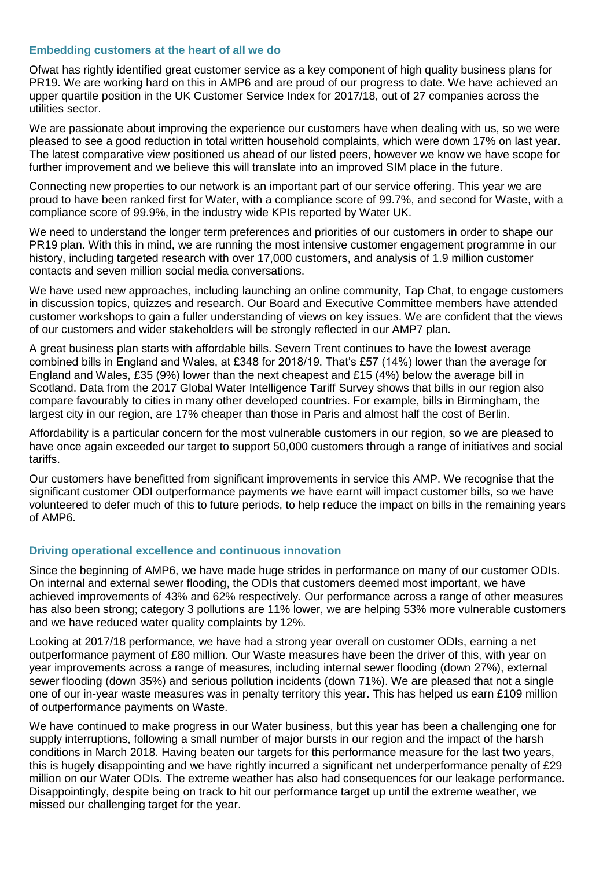## **Embedding customers at the heart of all we do**

Ofwat has rightly identified great customer service as a key component of high quality business plans for PR19. We are working hard on this in AMP6 and are proud of our progress to date. We have achieved an upper quartile position in the UK Customer Service Index for 2017/18, out of 27 companies across the utilities sector.

We are passionate about improving the experience our customers have when dealing with us, so we were pleased to see a good reduction in total written household complaints, which were down 17% on last year. The latest comparative view positioned us ahead of our listed peers, however we know we have scope for further improvement and we believe this will translate into an improved SIM place in the future.

Connecting new properties to our network is an important part of our service offering. This year we are proud to have been ranked first for Water, with a compliance score of 99.7%, and second for Waste, with a compliance score of 99.9%, in the industry wide KPIs reported by Water UK.

We need to understand the longer term preferences and priorities of our customers in order to shape our PR19 plan. With this in mind, we are running the most intensive customer engagement programme in our history, including targeted research with over 17,000 customers, and analysis of 1.9 million customer contacts and seven million social media conversations.

We have used new approaches, including launching an online community, Tap Chat, to engage customers in discussion topics, quizzes and research. Our Board and Executive Committee members have attended customer workshops to gain a fuller understanding of views on key issues. We are confident that the views of our customers and wider stakeholders will be strongly reflected in our AMP7 plan.

A great business plan starts with affordable bills. Severn Trent continues to have the lowest average combined bills in England and Wales, at £348 for 2018/19. That's £57 (14%) lower than the average for England and Wales, £35 (9%) lower than the next cheapest and £15 (4%) below the average bill in Scotland. Data from the 2017 Global Water Intelligence Tariff Survey shows that bills in our region also compare favourably to cities in many other developed countries. For example, bills in Birmingham, the largest city in our region, are 17% cheaper than those in Paris and almost half the cost of Berlin.

Affordability is a particular concern for the most vulnerable customers in our region, so we are pleased to have once again exceeded our target to support 50,000 customers through a range of initiatives and social tariffs.

Our customers have benefitted from significant improvements in service this AMP. We recognise that the significant customer ODI outperformance payments we have earnt will impact customer bills, so we have volunteered to defer much of this to future periods, to help reduce the impact on bills in the remaining years of AMP6.

## **Driving operational excellence and continuous innovation**

Since the beginning of AMP6, we have made huge strides in performance on many of our customer ODIs. On internal and external sewer flooding, the ODIs that customers deemed most important, we have achieved improvements of 43% and 62% respectively. Our performance across a range of other measures has also been strong; category 3 pollutions are 11% lower, we are helping 53% more vulnerable customers and we have reduced water quality complaints by 12%.

Looking at 2017/18 performance, we have had a strong year overall on customer ODIs, earning a net outperformance payment of £80 million. Our Waste measures have been the driver of this, with year on year improvements across a range of measures, including internal sewer flooding (down 27%), external sewer flooding (down 35%) and serious pollution incidents (down 71%). We are pleased that not a single one of our in-year waste measures was in penalty territory this year. This has helped us earn £109 million of outperformance payments on Waste.

We have continued to make progress in our Water business, but this year has been a challenging one for supply interruptions, following a small number of major bursts in our region and the impact of the harsh conditions in March 2018. Having beaten our targets for this performance measure for the last two years, this is hugely disappointing and we have rightly incurred a significant net underperformance penalty of £29 million on our Water ODIs. The extreme weather has also had consequences for our leakage performance. Disappointingly, despite being on track to hit our performance target up until the extreme weather, we missed our challenging target for the year.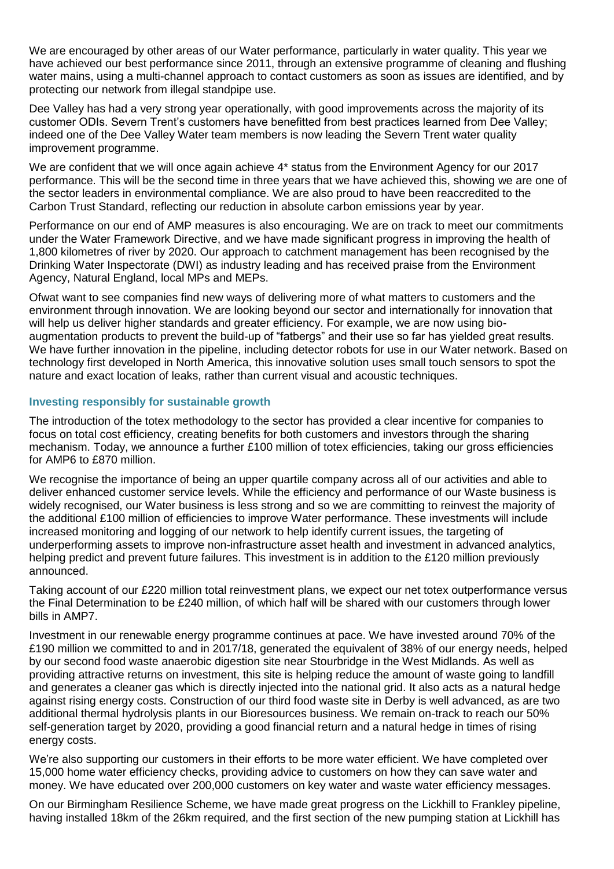We are encouraged by other areas of our Water performance, particularly in water quality. This year we have achieved our best performance since 2011, through an extensive programme of cleaning and flushing water mains, using a multi-channel approach to contact customers as soon as issues are identified, and by protecting our network from illegal standpipe use.

Dee Valley has had a very strong year operationally, with good improvements across the majority of its customer ODIs. Severn Trent's customers have benefitted from best practices learned from Dee Valley; indeed one of the Dee Valley Water team members is now leading the Severn Trent water quality improvement programme.

We are confident that we will once again achieve 4<sup>\*</sup> status from the Environment Agency for our 2017 performance. This will be the second time in three years that we have achieved this, showing we are one of the sector leaders in environmental compliance. We are also proud to have been reaccredited to the Carbon Trust Standard, reflecting our reduction in absolute carbon emissions year by year.

Performance on our end of AMP measures is also encouraging. We are on track to meet our commitments under the Water Framework Directive, and we have made significant progress in improving the health of 1,800 kilometres of river by 2020. Our approach to catchment management has been recognised by the Drinking Water Inspectorate (DWI) as industry leading and has received praise from the Environment Agency, Natural England, local MPs and MEPs.

Ofwat want to see companies find new ways of delivering more of what matters to customers and the environment through innovation. We are looking beyond our sector and internationally for innovation that will help us deliver higher standards and greater efficiency. For example, we are now using bioaugmentation products to prevent the build-up of "fatbergs" and their use so far has yielded great results. We have further innovation in the pipeline, including detector robots for use in our Water network. Based on technology first developed in North America, this innovative solution uses small touch sensors to spot the nature and exact location of leaks, rather than current visual and acoustic techniques.

# **Investing responsibly for sustainable growth**

The introduction of the totex methodology to the sector has provided a clear incentive for companies to focus on total cost efficiency, creating benefits for both customers and investors through the sharing mechanism. Today, we announce a further £100 million of totex efficiencies, taking our gross efficiencies for AMP6 to £870 million.

We recognise the importance of being an upper quartile company across all of our activities and able to deliver enhanced customer service levels. While the efficiency and performance of our Waste business is widely recognised, our Water business is less strong and so we are committing to reinvest the majority of the additional £100 million of efficiencies to improve Water performance. These investments will include increased monitoring and logging of our network to help identify current issues, the targeting of underperforming assets to improve non-infrastructure asset health and investment in advanced analytics, helping predict and prevent future failures. This investment is in addition to the £120 million previously announced.

Taking account of our £220 million total reinvestment plans, we expect our net totex outperformance versus the Final Determination to be £240 million, of which half will be shared with our customers through lower bills in AMP7.

Investment in our renewable energy programme continues at pace. We have invested around 70% of the £190 million we committed to and in 2017/18, generated the equivalent of 38% of our energy needs, helped by our second food waste anaerobic digestion site near Stourbridge in the West Midlands. As well as providing attractive returns on investment, this site is helping reduce the amount of waste going to landfill and generates a cleaner gas which is directly injected into the national grid. It also acts as a natural hedge against rising energy costs. Construction of our third food waste site in Derby is well advanced, as are two additional thermal hydrolysis plants in our Bioresources business. We remain on-track to reach our 50% self-generation target by 2020, providing a good financial return and a natural hedge in times of rising energy costs.

We're also supporting our customers in their efforts to be more water efficient. We have completed over 15,000 home water efficiency checks, providing advice to customers on how they can save water and money. We have educated over 200,000 customers on key water and waste water efficiency messages.

On our Birmingham Resilience Scheme, we have made great progress on the Lickhill to Frankley pipeline, having installed 18km of the 26km required, and the first section of the new pumping station at Lickhill has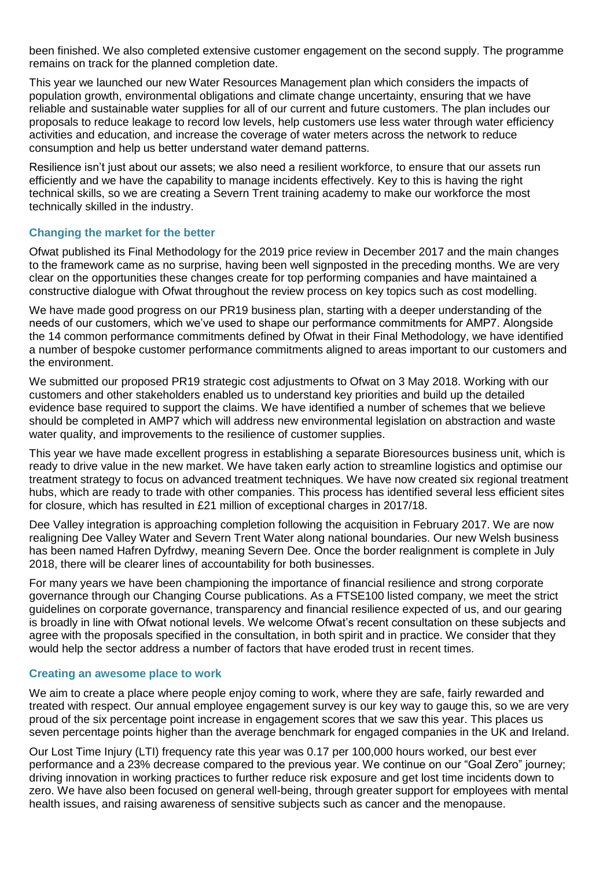been finished. We also completed extensive customer engagement on the second supply. The programme remains on track for the planned completion date.

This year we launched our new Water Resources Management plan which considers the impacts of population growth, environmental obligations and climate change uncertainty, ensuring that we have reliable and sustainable water supplies for all of our current and future customers. The plan includes our proposals to reduce leakage to record low levels, help customers use less water through water efficiency activities and education, and increase the coverage of water meters across the network to reduce consumption and help us better understand water demand patterns.

Resilience isn't just about our assets; we also need a resilient workforce, to ensure that our assets run efficiently and we have the capability to manage incidents effectively. Key to this is having the right technical skills, so we are creating a Severn Trent training academy to make our workforce the most technically skilled in the industry.

## **Changing the market for the better**

Ofwat published its Final Methodology for the 2019 price review in December 2017 and the main changes to the framework came as no surprise, having been well signposted in the preceding months. We are very clear on the opportunities these changes create for top performing companies and have maintained a constructive dialogue with Ofwat throughout the review process on key topics such as cost modelling.

We have made good progress on our PR19 business plan, starting with a deeper understanding of the needs of our customers, which we've used to shape our performance commitments for AMP7. Alongside the 14 common performance commitments defined by Ofwat in their Final Methodology, we have identified a number of bespoke customer performance commitments aligned to areas important to our customers and the environment.

We submitted our proposed PR19 strategic cost adjustments to Ofwat on 3 May 2018. Working with our customers and other stakeholders enabled us to understand key priorities and build up the detailed evidence base required to support the claims. We have identified a number of schemes that we believe should be completed in AMP7 which will address new environmental legislation on abstraction and waste water quality, and improvements to the resilience of customer supplies.

This year we have made excellent progress in establishing a separate Bioresources business unit, which is ready to drive value in the new market. We have taken early action to streamline logistics and optimise our treatment strategy to focus on advanced treatment techniques. We have now created six regional treatment hubs, which are ready to trade with other companies. This process has identified several less efficient sites for closure, which has resulted in £21 million of exceptional charges in 2017/18.

Dee Valley integration is approaching completion following the acquisition in February 2017. We are now realigning Dee Valley Water and Severn Trent Water along national boundaries. Our new Welsh business has been named Hafren Dyfrdwy, meaning Severn Dee. Once the border realignment is complete in July 2018, there will be clearer lines of accountability for both businesses.

For many years we have been championing the importance of financial resilience and strong corporate governance through our Changing Course publications. As a FTSE100 listed company, we meet the strict guidelines on corporate governance, transparency and financial resilience expected of us, and our gearing is broadly in line with Ofwat notional levels. We welcome Ofwat's recent consultation on these subjects and agree with the proposals specified in the consultation, in both spirit and in practice. We consider that they would help the sector address a number of factors that have eroded trust in recent times.

## **Creating an awesome place to work**

We aim to create a place where people enjoy coming to work, where they are safe, fairly rewarded and treated with respect. Our annual employee engagement survey is our key way to gauge this, so we are very proud of the six percentage point increase in engagement scores that we saw this year. This places us seven percentage points higher than the average benchmark for engaged companies in the UK and Ireland.

Our Lost Time Injury (LTI) frequency rate this year was 0.17 per 100,000 hours worked, our best ever performance and a 23% decrease compared to the previous year. We continue on our "Goal Zero" journey; driving innovation in working practices to further reduce risk exposure and get lost time incidents down to zero. We have also been focused on general well-being, through greater support for employees with mental health issues, and raising awareness of sensitive subjects such as cancer and the menopause.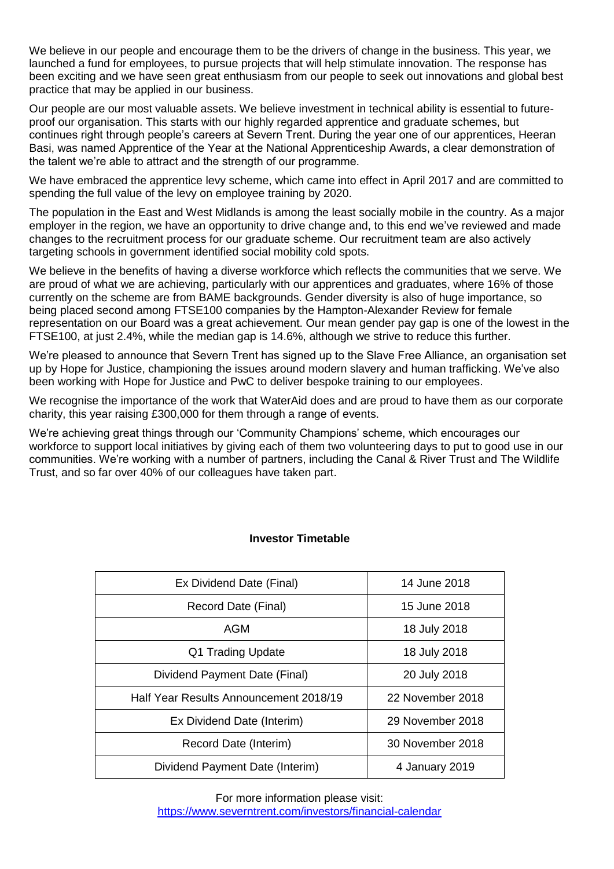We believe in our people and encourage them to be the drivers of change in the business. This year, we launched a fund for employees, to pursue projects that will help stimulate innovation. The response has been exciting and we have seen great enthusiasm from our people to seek out innovations and global best practice that may be applied in our business.

Our people are our most valuable assets. We believe investment in technical ability is essential to futureproof our organisation. This starts with our highly regarded apprentice and graduate schemes, but continues right through people's careers at Severn Trent. During the year one of our apprentices, Heeran Basi, was named Apprentice of the Year at the National Apprenticeship Awards, a clear demonstration of the talent we're able to attract and the strength of our programme.

We have embraced the apprentice levy scheme, which came into effect in April 2017 and are committed to spending the full value of the levy on employee training by 2020.

The population in the East and West Midlands is among the least socially mobile in the country. As a major employer in the region, we have an opportunity to drive change and, to this end we've reviewed and made changes to the recruitment process for our graduate scheme. Our recruitment team are also actively targeting schools in government identified social mobility cold spots.

We believe in the benefits of having a diverse workforce which reflects the communities that we serve. We are proud of what we are achieving, particularly with our apprentices and graduates, where 16% of those currently on the scheme are from BAME backgrounds. Gender diversity is also of huge importance, so being placed second among FTSE100 companies by the Hampton-Alexander Review for female representation on our Board was a great achievement. Our mean gender pay gap is one of the lowest in the FTSE100, at just 2.4%, while the median gap is 14.6%, although we strive to reduce this further.

We're pleased to announce that Severn Trent has signed up to the Slave Free Alliance, an organisation set up by Hope for Justice, championing the issues around modern slavery and human trafficking. We've also been working with Hope for Justice and PwC to deliver bespoke training to our employees.

We recognise the importance of the work that WaterAid does and are proud to have them as our corporate charity, this year raising £300,000 for them through a range of events.

We're achieving great things through our 'Community Champions' scheme, which encourages our workforce to support local initiatives by giving each of them two volunteering days to put to good use in our communities. We're working with a number of partners, including the Canal & River Trust and The Wildlife Trust, and so far over 40% of our colleagues have taken part.

# **Investor Timetable**

| Ex Dividend Date (Final)               | 14 June 2018     |
|----------------------------------------|------------------|
| Record Date (Final)                    | 15 June 2018     |
| AGM                                    | 18 July 2018     |
| Q1 Trading Update                      | 18 July 2018     |
| Dividend Payment Date (Final)          | 20 July 2018     |
| Half Year Results Announcement 2018/19 | 22 November 2018 |
| Ex Dividend Date (Interim)             | 29 November 2018 |
| Record Date (Interim)                  | 30 November 2018 |
| Dividend Payment Date (Interim)        | 4 January 2019   |

For more information please visit: <https://www.severntrent.com/investors/financial-calendar>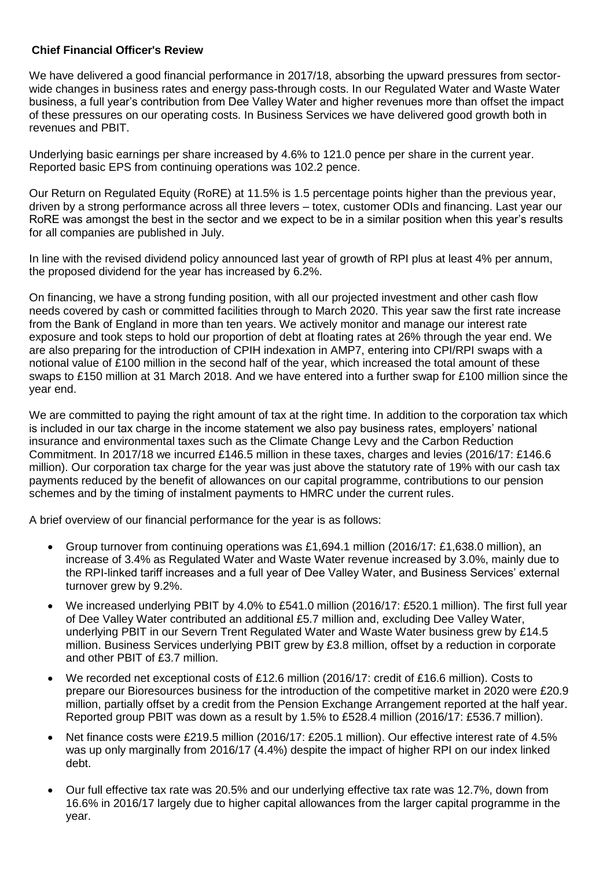# **Chief Financial Officer's Review**

We have delivered a good financial performance in 2017/18, absorbing the upward pressures from sectorwide changes in business rates and energy pass-through costs. In our Regulated Water and Waste Water business, a full year's contribution from Dee Valley Water and higher revenues more than offset the impact of these pressures on our operating costs. In Business Services we have delivered good growth both in revenues and PBIT.

Underlying basic earnings per share increased by 4.6% to 121.0 pence per share in the current year. Reported basic EPS from continuing operations was 102.2 pence.

Our Return on Regulated Equity (RoRE) at 11.5% is 1.5 percentage points higher than the previous year, driven by a strong performance across all three levers – totex, customer ODIs and financing. Last year our RoRE was amongst the best in the sector and we expect to be in a similar position when this year's results for all companies are published in July.

In line with the revised dividend policy announced last year of growth of RPI plus at least 4% per annum, the proposed dividend for the year has increased by 6.2%.

On financing, we have a strong funding position, with all our projected investment and other cash flow needs covered by cash or committed facilities through to March 2020. This year saw the first rate increase from the Bank of England in more than ten years. We actively monitor and manage our interest rate exposure and took steps to hold our proportion of debt at floating rates at 26% through the year end. We are also preparing for the introduction of CPIH indexation in AMP7, entering into CPI/RPI swaps with a notional value of £100 million in the second half of the year, which increased the total amount of these swaps to £150 million at 31 March 2018. And we have entered into a further swap for £100 million since the year end.

We are committed to paying the right amount of tax at the right time. In addition to the corporation tax which is included in our tax charge in the income statement we also pay business rates, employers' national insurance and environmental taxes such as the Climate Change Levy and the Carbon Reduction Commitment. In 2017/18 we incurred £146.5 million in these taxes, charges and levies (2016/17: £146.6 million). Our corporation tax charge for the year was just above the statutory rate of 19% with our cash tax payments reduced by the benefit of allowances on our capital programme, contributions to our pension schemes and by the timing of instalment payments to HMRC under the current rules.

A brief overview of our financial performance for the year is as follows:

- Group turnover from continuing operations was £1,694.1 million (2016/17: £1,638.0 million), an increase of 3.4% as Regulated Water and Waste Water revenue increased by 3.0%, mainly due to the RPI-linked tariff increases and a full year of Dee Valley Water, and Business Services' external turnover grew by 9.2%.
- We increased underlying PBIT by 4.0% to £541.0 million (2016/17: £520.1 million). The first full year of Dee Valley Water contributed an additional £5.7 million and, excluding Dee Valley Water, underlying PBIT in our Severn Trent Regulated Water and Waste Water business grew by £14.5 million. Business Services underlying PBIT grew by £3.8 million, offset by a reduction in corporate and other PBIT of £3.7 million.
- We recorded net exceptional costs of £12.6 million (2016/17: credit of £16.6 million). Costs to prepare our Bioresources business for the introduction of the competitive market in 2020 were £20.9 million, partially offset by a credit from the Pension Exchange Arrangement reported at the half year. Reported group PBIT was down as a result by 1.5% to £528.4 million (2016/17: £536.7 million).
- Net finance costs were £219.5 million (2016/17: £205.1 million). Our effective interest rate of 4.5% was up only marginally from 2016/17 (4.4%) despite the impact of higher RPI on our index linked debt.
- Our full effective tax rate was 20.5% and our underlying effective tax rate was 12.7%, down from 16.6% in 2016/17 largely due to higher capital allowances from the larger capital programme in the year.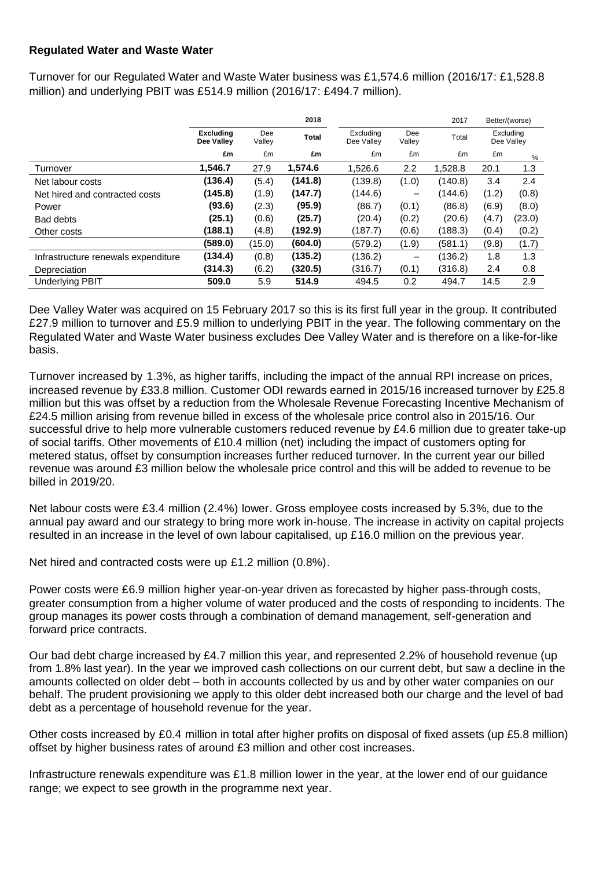# **Regulated Water and Waste Water**

Turnover for our Regulated Water and Waste Water business was £1,574.6 million (2016/17: £1,528.8 million) and underlying PBIT was £514.9 million (2016/17: £494.7 million).

|                                     |                                |               | 2018         |                         |               | 2017    |       | Better/(worse)          |
|-------------------------------------|--------------------------------|---------------|--------------|-------------------------|---------------|---------|-------|-------------------------|
|                                     | <b>Excluding</b><br>Dee Valley | Dee<br>Valley | <b>Total</b> | Excluding<br>Dee Valley | Dee<br>Valley | Total   |       | Excluding<br>Dee Valley |
|                                     | £m                             | £m            | £m           | £m                      | £m            | £m      | £m    | %                       |
| Turnover                            | 1,546.7                        | 27.9          | 1,574.6      | 1,526.6                 | 2.2           | 1,528.8 | 20.1  | 1.3                     |
| Net labour costs                    | (136.4)                        | (5.4)         | (141.8)      | (139.8)                 | (1.0)         | (140.8) | 3.4   | 2.4                     |
| Net hired and contracted costs      | (145.8)                        | (1.9)         | (147.7)      | (144.6)                 | -             | (144.6) | (1.2) | (0.8)                   |
| Power                               | (93.6)                         | (2.3)         | (95.9)       | (86.7)                  | (0.1)         | (86.8)  | (6.9) | (8.0)                   |
| <b>Bad debts</b>                    | (25.1)                         | (0.6)         | (25.7)       | (20.4)                  | (0.2)         | (20.6)  | (4.7) | (23.0)                  |
| Other costs                         | (188.1)                        | (4.8)         | (192.9)      | (187.7)                 | (0.6)         | (188.3) | (0.4) | (0.2)                   |
|                                     | (589.0)                        | (15.0)        | (604.0)      | (579.2)                 | (1.9)         | (581.1) | (9.8) | (1.7)                   |
| Infrastructure renewals expenditure | (134.4)                        | (0.8)         | (135.2)      | (136.2)                 | -             | (136.2) | 1.8   | 1.3                     |
| Depreciation                        | (314.3)                        | (6.2)         | (320.5)      | (316.7)                 | (0.1)         | (316.8) | 2.4   | 0.8                     |
| <b>Underlying PBIT</b>              | 509.0                          | 5.9           | 514.9        | 494.5                   | 0.2           | 494.7   | 14.5  | 2.9                     |

Dee Valley Water was acquired on 15 February 2017 so this is its first full year in the group. It contributed £27.9 million to turnover and £5.9 million to underlying PBIT in the year. The following commentary on the Regulated Water and Waste Water business excludes Dee Valley Water and is therefore on a like-for-like basis.

Turnover increased by 1.3%, as higher tariffs, including the impact of the annual RPI increase on prices, increased revenue by £33.8 million. Customer ODI rewards earned in 2015/16 increased turnover by £25.8 million but this was offset by a reduction from the Wholesale Revenue Forecasting Incentive Mechanism of £24.5 million arising from revenue billed in excess of the wholesale price control also in 2015/16. Our successful drive to help more vulnerable customers reduced revenue by £4.6 million due to greater take-up of social tariffs. Other movements of £10.4 million (net) including the impact of customers opting for metered status, offset by consumption increases further reduced turnover. In the current year our billed revenue was around £3 million below the wholesale price control and this will be added to revenue to be billed in 2019/20.

Net labour costs were £3.4 million (2.4%) lower. Gross employee costs increased by 5.3%, due to the annual pay award and our strategy to bring more work in-house. The increase in activity on capital projects resulted in an increase in the level of own labour capitalised, up £16.0 million on the previous year.

Net hired and contracted costs were up £1.2 million (0.8%).

Power costs were £6.9 million higher year-on-year driven as forecasted by higher pass-through costs, greater consumption from a higher volume of water produced and the costs of responding to incidents. The group manages its power costs through a combination of demand management, self-generation and forward price contracts.

Our bad debt charge increased by £4.7 million this year, and represented 2.2% of household revenue (up from 1.8% last year). In the year we improved cash collections on our current debt, but saw a decline in the amounts collected on older debt – both in accounts collected by us and by other water companies on our behalf. The prudent provisioning we apply to this older debt increased both our charge and the level of bad debt as a percentage of household revenue for the year.

Other costs increased by £0.4 million in total after higher profits on disposal of fixed assets (up £5.8 million) offset by higher business rates of around £3 million and other cost increases.

Infrastructure renewals expenditure was £1.8 million lower in the year, at the lower end of our guidance range; we expect to see growth in the programme next year.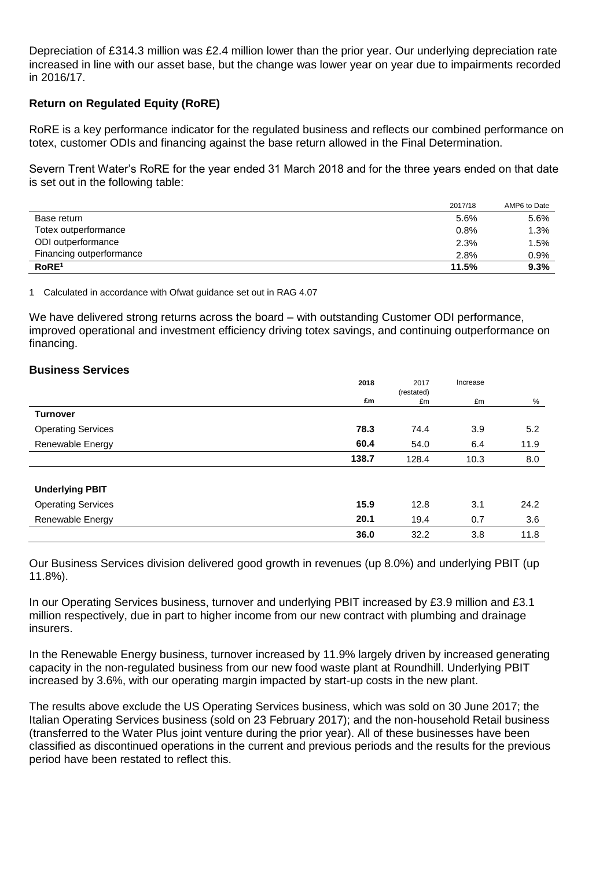Depreciation of £314.3 million was £2.4 million lower than the prior year. Our underlying depreciation rate increased in line with our asset base, but the change was lower year on year due to impairments recorded in 2016/17.

# **Return on Regulated Equity (RoRE)**

RoRE is a key performance indicator for the regulated business and reflects our combined performance on totex, customer ODIs and financing against the base return allowed in the Final Determination.

Severn Trent Water's RoRE for the year ended 31 March 2018 and for the three years ended on that date is set out in the following table:

|                          | 2017/18 | AMP6 to Date |
|--------------------------|---------|--------------|
| Base return              | 5.6%    | 5.6%         |
| Totex outperformance     | 0.8%    | 1.3%         |
| ODI outperformance       | 2.3%    | 1.5%         |
| Financing outperformance | 2.8%    | 0.9%         |
| RoRE <sup>1</sup>        | 11.5%   | 9.3%         |

1 Calculated in accordance with Ofwat guidance set out in RAG 4.07

We have delivered strong returns across the board – with outstanding Customer ODI performance, improved operational and investment efficiency driving totex savings, and continuing outperformance on financing.

## **Business Services**

|                           | 2018  | 2017       | Increase |      |
|---------------------------|-------|------------|----------|------|
|                           |       | (restated) |          |      |
|                           | £m    | £m         | £m       | %    |
| <b>Turnover</b>           |       |            |          |      |
| <b>Operating Services</b> | 78.3  | 74.4       | 3.9      | 5.2  |
| Renewable Energy          | 60.4  | 54.0       | 6.4      | 11.9 |
|                           | 138.7 | 128.4      | 10.3     | 8.0  |
|                           |       |            |          |      |
| <b>Underlying PBIT</b>    |       |            |          |      |
| <b>Operating Services</b> | 15.9  | 12.8       | 3.1      | 24.2 |
| Renewable Energy          | 20.1  | 19.4       | 0.7      | 3.6  |
|                           | 36.0  | 32.2       | 3.8      | 11.8 |

Our Business Services division delivered good growth in revenues (up 8.0%) and underlying PBIT (up 11.8%).

In our Operating Services business, turnover and underlying PBIT increased by £3.9 million and £3.1 million respectively, due in part to higher income from our new contract with plumbing and drainage insurers.

In the Renewable Energy business, turnover increased by 11.9% largely driven by increased generating capacity in the non-regulated business from our new food waste plant at Roundhill. Underlying PBIT increased by 3.6%, with our operating margin impacted by start-up costs in the new plant.

The results above exclude the US Operating Services business, which was sold on 30 June 2017; the Italian Operating Services business (sold on 23 February 2017); and the non-household Retail business (transferred to the Water Plus joint venture during the prior year). All of these businesses have been classified as discontinued operations in the current and previous periods and the results for the previous period have been restated to reflect this.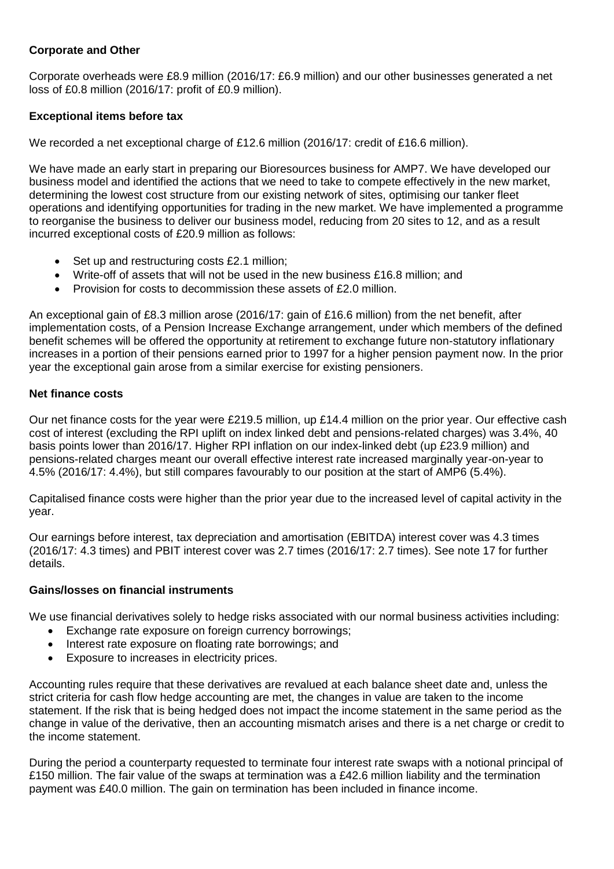# **Corporate and Other**

Corporate overheads were £8.9 million (2016/17: £6.9 million) and our other businesses generated a net loss of £0.8 million (2016/17: profit of £0.9 million).

# **Exceptional items before tax**

We recorded a net exceptional charge of £12.6 million (2016/17: credit of £16.6 million).

We have made an early start in preparing our Bioresources business for AMP7. We have developed our business model and identified the actions that we need to take to compete effectively in the new market, determining the lowest cost structure from our existing network of sites, optimising our tanker fleet operations and identifying opportunities for trading in the new market. We have implemented a programme to reorganise the business to deliver our business model, reducing from 20 sites to 12, and as a result incurred exceptional costs of £20.9 million as follows:

- Set up and restructuring costs £2.1 million;
- Write-off of assets that will not be used in the new business £16.8 million; and
- Provision for costs to decommission these assets of £2.0 million.

An exceptional gain of £8.3 million arose (2016/17: gain of £16.6 million) from the net benefit, after implementation costs, of a Pension Increase Exchange arrangement, under which members of the defined benefit schemes will be offered the opportunity at retirement to exchange future non-statutory inflationary increases in a portion of their pensions earned prior to 1997 for a higher pension payment now. In the prior year the exceptional gain arose from a similar exercise for existing pensioners.

## **Net finance costs**

Our net finance costs for the year were £219.5 million, up £14.4 million on the prior year. Our effective cash cost of interest (excluding the RPI uplift on index linked debt and pensions-related charges) was 3.4%, 40 basis points lower than 2016/17. Higher RPI inflation on our index-linked debt (up £23.9 million) and pensions-related charges meant our overall effective interest rate increased marginally year-on-year to 4.5% (2016/17: 4.4%), but still compares favourably to our position at the start of AMP6 (5.4%).

Capitalised finance costs were higher than the prior year due to the increased level of capital activity in the year.

Our earnings before interest, tax depreciation and amortisation (EBITDA) interest cover was 4.3 times (2016/17: 4.3 times) and PBIT interest cover was 2.7 times (2016/17: 2.7 times). See note 17 for further details.

## **Gains/losses on financial instruments**

We use financial derivatives solely to hedge risks associated with our normal business activities including:

- Exchange rate exposure on foreign currency borrowings;
- Interest rate exposure on floating rate borrowings; and
- Exposure to increases in electricity prices.

Accounting rules require that these derivatives are revalued at each balance sheet date and, unless the strict criteria for cash flow hedge accounting are met, the changes in value are taken to the income statement. If the risk that is being hedged does not impact the income statement in the same period as the change in value of the derivative, then an accounting mismatch arises and there is a net charge or credit to the income statement.

During the period a counterparty requested to terminate four interest rate swaps with a notional principal of £150 million. The fair value of the swaps at termination was a £42.6 million liability and the termination payment was £40.0 million. The gain on termination has been included in finance income.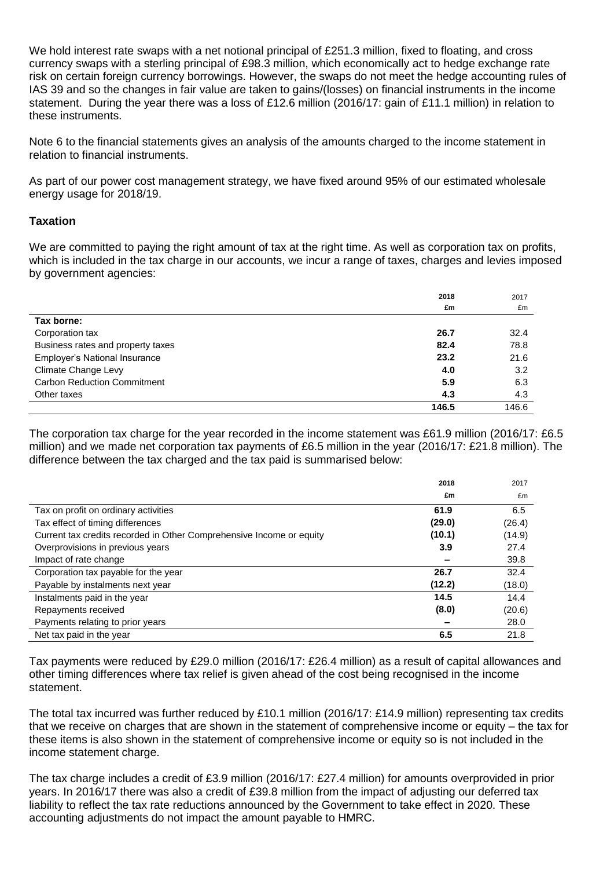We hold interest rate swaps with a net notional principal of £251.3 million, fixed to floating, and cross currency swaps with a sterling principal of £98.3 million, which economically act to hedge exchange rate risk on certain foreign currency borrowings. However, the swaps do not meet the hedge accounting rules of IAS 39 and so the changes in fair value are taken to gains/(losses) on financial instruments in the income statement. During the year there was a loss of £12.6 million (2016/17: gain of £11.1 million) in relation to these instruments.

Note 6 to the financial statements gives an analysis of the amounts charged to the income statement in relation to financial instruments.

As part of our power cost management strategy, we have fixed around 95% of our estimated wholesale energy usage for 2018/19.

# **Taxation**

We are committed to paying the right amount of tax at the right time. As well as corporation tax on profits, which is included in the tax charge in our accounts, we incur a range of taxes, charges and levies imposed by government agencies:

|                                    | 2018  | 2017  |
|------------------------------------|-------|-------|
|                                    | £m    | £m    |
| Tax borne:                         |       |       |
| Corporation tax                    | 26.7  | 32.4  |
| Business rates and property taxes  | 82.4  | 78.8  |
| Employer's National Insurance      | 23.2  | 21.6  |
| Climate Change Levy                | 4.0   | 3.2   |
| <b>Carbon Reduction Commitment</b> | 5.9   | 6.3   |
| Other taxes                        | 4.3   | 4.3   |
|                                    | 146.5 | 146.6 |

The corporation tax charge for the year recorded in the income statement was £61.9 million (2016/17: £6.5 million) and we made net corporation tax payments of £6.5 million in the year (2016/17: £21.8 million). The difference between the tax charged and the tax paid is summarised below:

|                                                                      | 2018   | 2017   |
|----------------------------------------------------------------------|--------|--------|
|                                                                      | £m     | £m     |
| Tax on profit on ordinary activities                                 | 61.9   | 6.5    |
| Tax effect of timing differences                                     | (29.0) | (26.4) |
| Current tax credits recorded in Other Comprehensive Income or equity | (10.1) | (14.9) |
| Overprovisions in previous years                                     | 3.9    | 27.4   |
| Impact of rate change                                                |        | 39.8   |
| Corporation tax payable for the year                                 | 26.7   | 32.4   |
| Payable by instalments next year                                     | (12.2) | (18.0) |
| Instalments paid in the year                                         | 14.5   | 14.4   |
| Repayments received                                                  | (8.0)  | (20.6) |
| Payments relating to prior years                                     |        | 28.0   |
| Net tax paid in the year                                             | 6.5    | 21.8   |

Tax payments were reduced by £29.0 million (2016/17: £26.4 million) as a result of capital allowances and other timing differences where tax relief is given ahead of the cost being recognised in the income statement.

The total tax incurred was further reduced by £10.1 million (2016/17: £14.9 million) representing tax credits that we receive on charges that are shown in the statement of comprehensive income or equity – the tax for these items is also shown in the statement of comprehensive income or equity so is not included in the income statement charge.

The tax charge includes a credit of £3.9 million (2016/17: £27.4 million) for amounts overprovided in prior years. In 2016/17 there was also a credit of £39.8 million from the impact of adjusting our deferred tax liability to reflect the tax rate reductions announced by the Government to take effect in 2020. These accounting adjustments do not impact the amount payable to HMRC.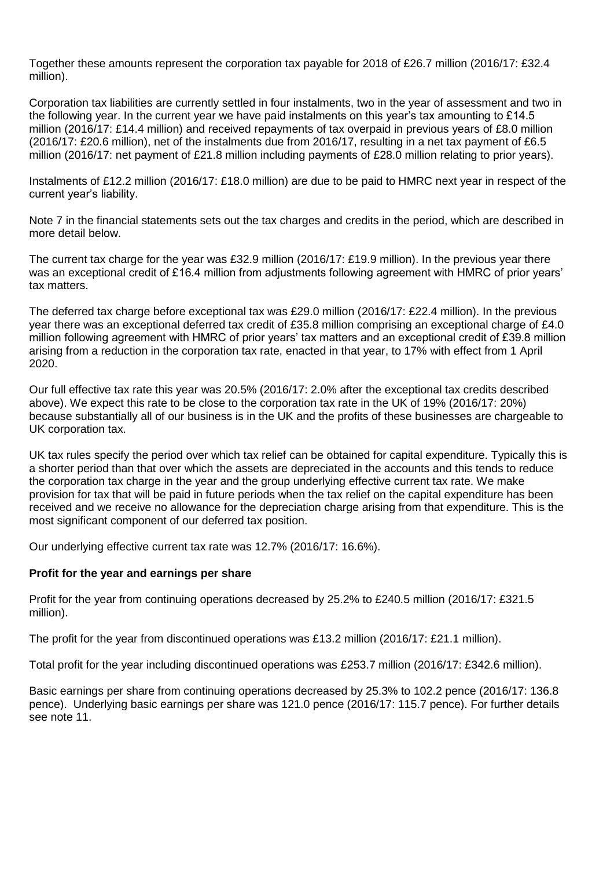Together these amounts represent the corporation tax payable for 2018 of £26.7 million (2016/17: £32.4 million).

Corporation tax liabilities are currently settled in four instalments, two in the year of assessment and two in the following year. In the current year we have paid instalments on this year's tax amounting to £14.5 million (2016/17: £14.4 million) and received repayments of tax overpaid in previous years of £8.0 million (2016/17: £20.6 million), net of the instalments due from 2016/17, resulting in a net tax payment of £6.5 million (2016/17: net payment of £21.8 million including payments of £28.0 million relating to prior years).

Instalments of £12.2 million (2016/17: £18.0 million) are due to be paid to HMRC next year in respect of the current year's liability.

Note 7 in the financial statements sets out the tax charges and credits in the period, which are described in more detail below.

The current tax charge for the year was £32.9 million (2016/17: £19.9 million). In the previous year there was an exceptional credit of £16.4 million from adjustments following agreement with HMRC of prior years' tax matters.

The deferred tax charge before exceptional tax was £29.0 million (2016/17: £22.4 million). In the previous year there was an exceptional deferred tax credit of £35.8 million comprising an exceptional charge of £4.0 million following agreement with HMRC of prior years' tax matters and an exceptional credit of £39.8 million arising from a reduction in the corporation tax rate, enacted in that year, to 17% with effect from 1 April 2020.

Our full effective tax rate this year was 20.5% (2016/17: 2.0% after the exceptional tax credits described above). We expect this rate to be close to the corporation tax rate in the UK of 19% (2016/17: 20%) because substantially all of our business is in the UK and the profits of these businesses are chargeable to UK corporation tax.

UK tax rules specify the period over which tax relief can be obtained for capital expenditure. Typically this is a shorter period than that over which the assets are depreciated in the accounts and this tends to reduce the corporation tax charge in the year and the group underlying effective current tax rate. We make provision for tax that will be paid in future periods when the tax relief on the capital expenditure has been received and we receive no allowance for the depreciation charge arising from that expenditure. This is the most significant component of our deferred tax position.

Our underlying effective current tax rate was 12.7% (2016/17: 16.6%).

## **Profit for the year and earnings per share**

Profit for the year from continuing operations decreased by 25.2% to £240.5 million (2016/17: £321.5 million).

The profit for the year from discontinued operations was £13.2 million (2016/17: £21.1 million).

Total profit for the year including discontinued operations was £253.7 million (2016/17: £342.6 million).

Basic earnings per share from continuing operations decreased by 25.3% to 102.2 pence (2016/17: 136.8 pence). Underlying basic earnings per share was 121.0 pence (2016/17: 115.7 pence). For further details see note 11.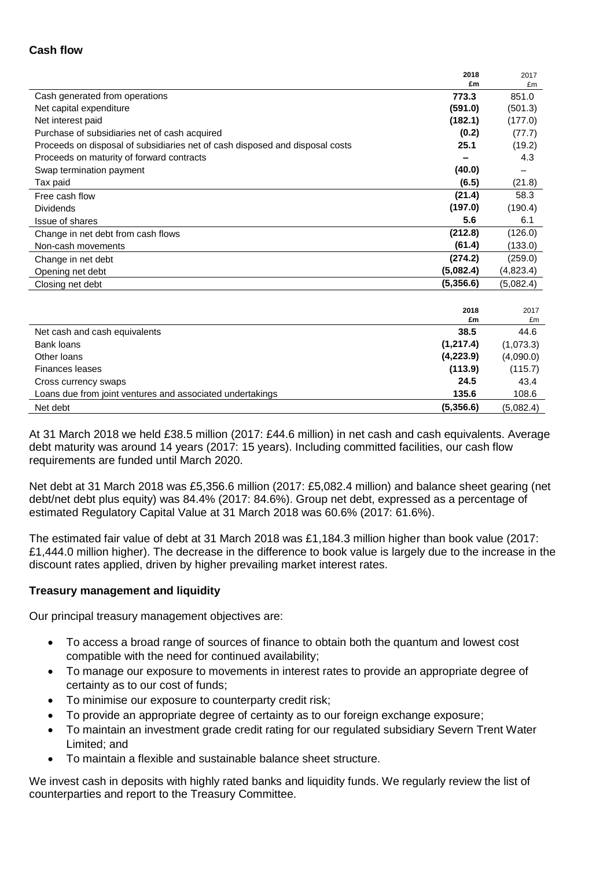## **Cash flow**

|                                                                              | 2018      | 2017      |
|------------------------------------------------------------------------------|-----------|-----------|
|                                                                              | £m        | £m        |
| Cash generated from operations                                               | 773.3     | 851.0     |
| Net capital expenditure                                                      | (591.0)   | (501.3)   |
| Net interest paid                                                            | (182.1)   | (177.0)   |
| Purchase of subsidiaries net of cash acquired                                | (0.2)     | (77.7)    |
| Proceeds on disposal of subsidiaries net of cash disposed and disposal costs | 25.1      | (19.2)    |
| Proceeds on maturity of forward contracts                                    |           | 4.3       |
| Swap termination payment                                                     | (40.0)    |           |
| Tax paid                                                                     | (6.5)     | (21.8)    |
| Free cash flow                                                               | (21.4)    | 58.3      |
| <b>Dividends</b>                                                             | (197.0)   | (190.4)   |
| Issue of shares                                                              | 5.6       | 6.1       |
| Change in net debt from cash flows                                           | (212.8)   | (126.0)   |
| Non-cash movements                                                           | (61.4)    | (133.0)   |
| Change in net debt                                                           | (274.2)   | (259.0)   |
| Opening net debt                                                             | (5,082.4) | (4,823.4) |
| Closing net debt                                                             | (5,356.6) | (5,082.4) |
|                                                                              |           |           |
|                                                                              | 2018      | 2017      |
|                                                                              | £m        | £m        |
| Net cash and cash equivalents                                                | 38.5      | 44.6      |
| Bank loans                                                                   | (1,217.4) | (1,073.3) |
| Other loans                                                                  | (4,223.9) | (4,090.0) |
| <b>Finances leases</b>                                                       | (113.9)   | (115.7)   |
| Cross currency swaps                                                         | 24.5      | 43.4      |
| Loans due from joint ventures and associated undertakings                    | 135.6     | 108.6     |
| Net debt                                                                     | (5,356.6) | (5,082.4) |

At 31 March 2018 we held £38.5 million (2017: £44.6 million) in net cash and cash equivalents. Average debt maturity was around 14 years (2017: 15 years). Including committed facilities, our cash flow requirements are funded until March 2020.

Net debt at 31 March 2018 was £5,356.6 million (2017: £5,082.4 million) and balance sheet gearing (net debt/net debt plus equity) was 84.4% (2017: 84.6%). Group net debt, expressed as a percentage of estimated Regulatory Capital Value at 31 March 2018 was 60.6% (2017: 61.6%).

The estimated fair value of debt at 31 March 2018 was £1,184.3 million higher than book value (2017: £1,444.0 million higher). The decrease in the difference to book value is largely due to the increase in the discount rates applied, driven by higher prevailing market interest rates.

## **Treasury management and liquidity**

Our principal treasury management objectives are:

- To access a broad range of sources of finance to obtain both the quantum and lowest cost compatible with the need for continued availability;
- To manage our exposure to movements in interest rates to provide an appropriate degree of certainty as to our cost of funds;
- To minimise our exposure to counterparty credit risk;
- To provide an appropriate degree of certainty as to our foreign exchange exposure;
- To maintain an investment grade credit rating for our regulated subsidiary Severn Trent Water Limited; and
- To maintain a flexible and sustainable balance sheet structure.

We invest cash in deposits with highly rated banks and liquidity funds. We regularly review the list of counterparties and report to the Treasury Committee.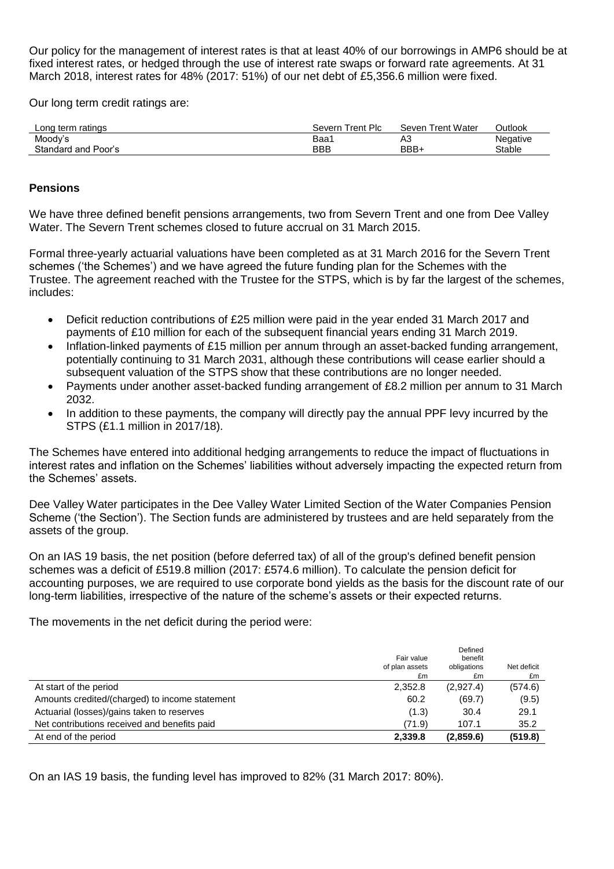Our policy for the management of interest rates is that at least 40% of our borrowings in AMP6 should be at fixed interest rates, or hedged through the use of interest rate swaps or forward rate agreements. At 31 March 2018, interest rates for 48% (2017: 51%) of our net debt of £5,356.6 million were fixed.

Our long term credit ratings are:

| Long term ratings   | Trent Plc<br>Severn | Seven Trent Water      | Outlook  |
|---------------------|---------------------|------------------------|----------|
| Moody's             | Baa <sup>.</sup>    | $\Lambda$ $\sim$<br>nυ | Negative |
| Standard and Poor's | BBB                 | BBB+                   | Stable   |

## **Pensions**

We have three defined benefit pensions arrangements, two from Severn Trent and one from Dee Valley Water. The Severn Trent schemes closed to future accrual on 31 March 2015.

Formal three-yearly actuarial valuations have been completed as at 31 March 2016 for the Severn Trent schemes ('the Schemes') and we have agreed the future funding plan for the Schemes with the Trustee. The agreement reached with the Trustee for the STPS, which is by far the largest of the schemes, includes:

- Deficit reduction contributions of £25 million were paid in the year ended 31 March 2017 and payments of £10 million for each of the subsequent financial years ending 31 March 2019.
- Inflation-linked payments of £15 million per annum through an asset-backed funding arrangement, potentially continuing to 31 March 2031, although these contributions will cease earlier should a subsequent valuation of the STPS show that these contributions are no longer needed.
- Payments under another asset-backed funding arrangement of £8.2 million per annum to 31 March 2032.
- In addition to these payments, the company will directly pay the annual PPF levy incurred by the STPS (£1.1 million in 2017/18).

The Schemes have entered into additional hedging arrangements to reduce the impact of fluctuations in interest rates and inflation on the Schemes' liabilities without adversely impacting the expected return from the Schemes' assets.

Dee Valley Water participates in the Dee Valley Water Limited Section of the Water Companies Pension Scheme ('the Section'). The Section funds are administered by trustees and are held separately from the assets of the group.

On an IAS 19 basis, the net position (before deferred tax) of all of the group's defined benefit pension schemes was a deficit of £519.8 million (2017: £574.6 million). To calculate the pension deficit for accounting purposes, we are required to use corporate bond yields as the basis for the discount rate of our long-term liabilities, irrespective of the nature of the scheme's assets or their expected returns.

The movements in the net deficit during the period were:

|                                                | Fair value<br>of plan assets<br>£m | Defined<br>benefit<br>obligations<br>£m | Net deficit<br>£m |
|------------------------------------------------|------------------------------------|-----------------------------------------|-------------------|
| At start of the period                         | 2.352.8                            | (2,927.4)                               | (574.6)           |
| Amounts credited/(charged) to income statement | 60.2                               | (69.7)                                  | (9.5)             |
| Actuarial (losses)/gains taken to reserves     | (1.3)                              | 30.4                                    | 29.1              |
| Net contributions received and benefits paid   | (71.9)                             | 107.1                                   | 35.2              |
| At end of the period                           | 2,339.8                            | (2,859.6)                               | (519.8)           |

On an IAS 19 basis, the funding level has improved to 82% (31 March 2017: 80%).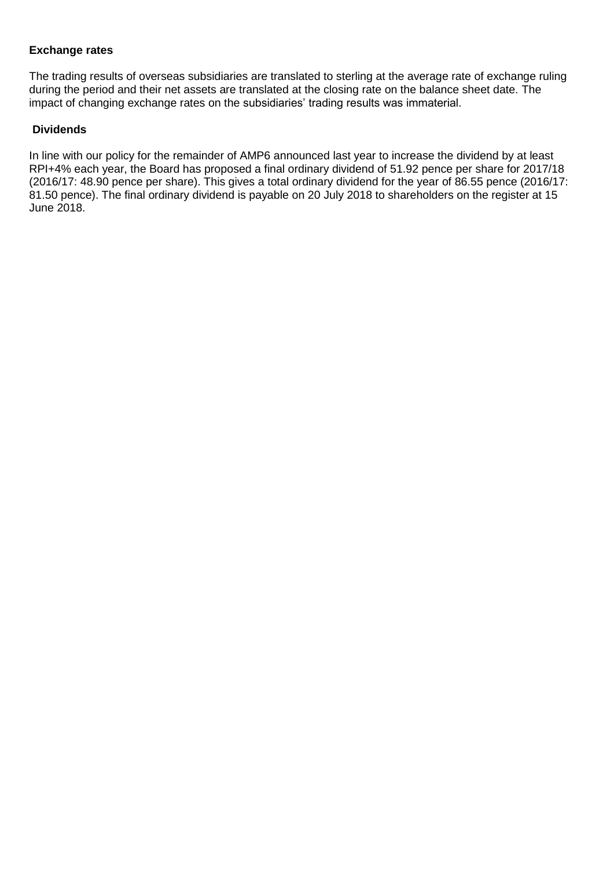# **Exchange rates**

The trading results of overseas subsidiaries are translated to sterling at the average rate of exchange ruling during the period and their net assets are translated at the closing rate on the balance sheet date. The impact of changing exchange rates on the subsidiaries' trading results was immaterial.

# **Dividends**

In line with our policy for the remainder of AMP6 announced last year to increase the dividend by at least RPI+4% each year, the Board has proposed a final ordinary dividend of 51.92 pence per share for 2017/18 (2016/17: 48.90 pence per share). This gives a total ordinary dividend for the year of 86.55 pence (2016/17: 81.50 pence). The final ordinary dividend is payable on 20 July 2018 to shareholders on the register at 15 June 2018.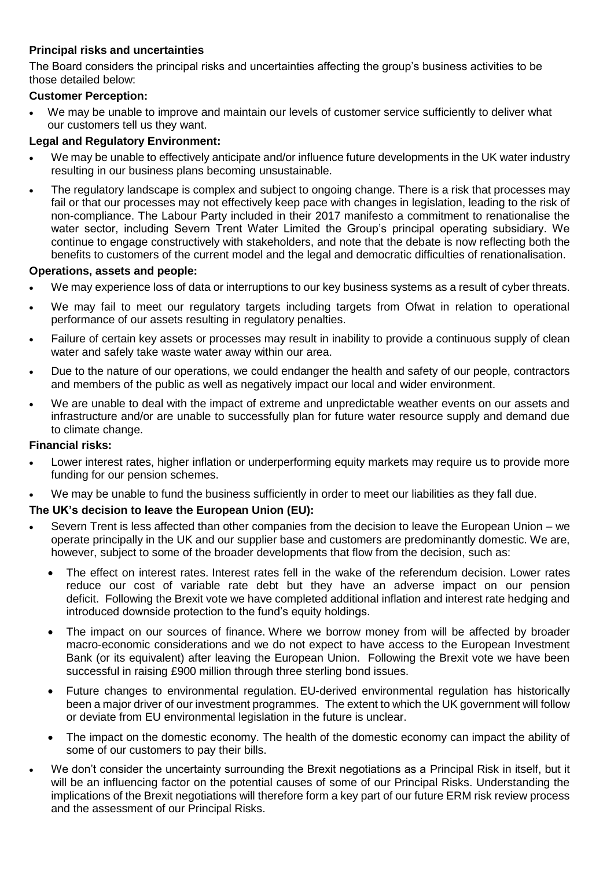# **Principal risks and uncertainties**

The Board considers the principal risks and uncertainties affecting the group's business activities to be those detailed below:

# **Customer Perception:**

 We may be unable to improve and maintain our levels of customer service sufficiently to deliver what our customers tell us they want.

# **Legal and Regulatory Environment:**

- We may be unable to effectively anticipate and/or influence future developments in the UK water industry resulting in our business plans becoming unsustainable.
- The regulatory landscape is complex and subject to ongoing change. There is a risk that processes may fail or that our processes may not effectively keep pace with changes in legislation, leading to the risk of non-compliance. The Labour Party included in their 2017 manifesto a commitment to renationalise the water sector, including Severn Trent Water Limited the Group's principal operating subsidiary. We continue to engage constructively with stakeholders, and note that the debate is now reflecting both the benefits to customers of the current model and the legal and democratic difficulties of renationalisation.

# **Operations, assets and people:**

- We may experience loss of data or interruptions to our key business systems as a result of cyber threats.
- We may fail to meet our regulatory targets including targets from Ofwat in relation to operational performance of our assets resulting in regulatory penalties.
- Failure of certain key assets or processes may result in inability to provide a continuous supply of clean water and safely take waste water away within our area.
- Due to the nature of our operations, we could endanger the health and safety of our people, contractors and members of the public as well as negatively impact our local and wider environment.
- We are unable to deal with the impact of extreme and unpredictable weather events on our assets and infrastructure and/or are unable to successfully plan for future water resource supply and demand due to climate change.

## **Financial risks:**

- Lower interest rates, higher inflation or underperforming equity markets may require us to provide more funding for our pension schemes.
- We may be unable to fund the business sufficiently in order to meet our liabilities as they fall due.

# **The UK's decision to leave the European Union (EU):**

- Severn Trent is less affected than other companies from the decision to leave the European Union we operate principally in the UK and our supplier base and customers are predominantly domestic. We are, however, subject to some of the broader developments that flow from the decision, such as:
	- The effect on interest rates. Interest rates fell in the wake of the referendum decision. Lower rates reduce our cost of variable rate debt but they have an adverse impact on our pension deficit. Following the Brexit vote we have completed additional inflation and interest rate hedging and introduced downside protection to the fund's equity holdings.
	- The impact on our sources of finance. Where we borrow money from will be affected by broader macro-economic considerations and we do not expect to have access to the European Investment Bank (or its equivalent) after leaving the European Union. Following the Brexit vote we have been successful in raising £900 million through three sterling bond issues.
	- Future changes to environmental regulation. EU-derived environmental regulation has historically been a major driver of our investment programmes. The extent to which the UK government will follow or deviate from EU environmental legislation in the future is unclear.
	- The impact on the domestic economy. The health of the domestic economy can impact the ability of some of our customers to pay their bills.
- We don't consider the uncertainty surrounding the Brexit negotiations as a Principal Risk in itself, but it will be an influencing factor on the potential causes of some of our Principal Risks. Understanding the implications of the Brexit negotiations will therefore form a key part of our future ERM risk review process and the assessment of our Principal Risks.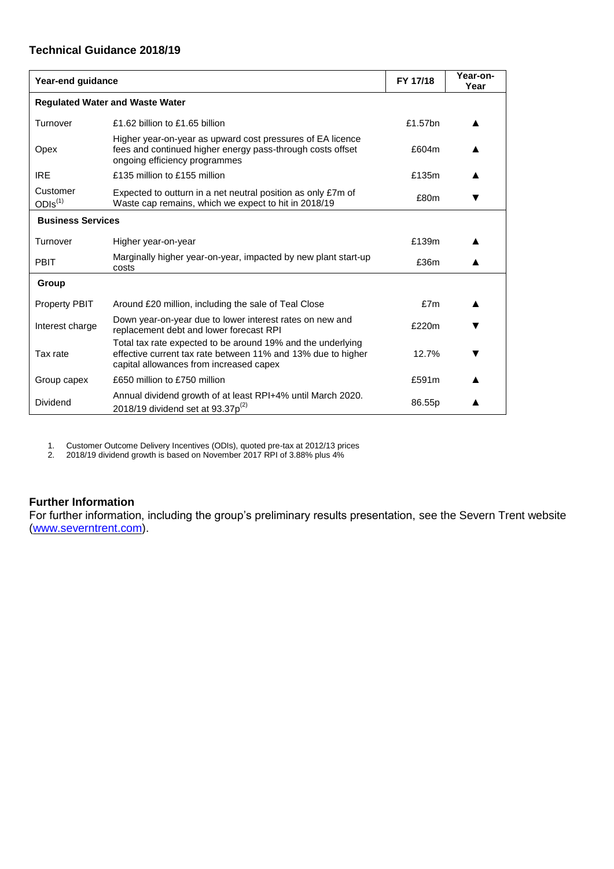# **Technical Guidance 2018/19**

| Year-end guidance               |                                                                                                                                                                        | FY 17/18 | Year-on-<br>Year |
|---------------------------------|------------------------------------------------------------------------------------------------------------------------------------------------------------------------|----------|------------------|
|                                 | <b>Regulated Water and Waste Water</b>                                                                                                                                 |          |                  |
| Turnover                        | £1.62 billion to £1.65 billion                                                                                                                                         | £1.57bn  |                  |
| Opex                            | Higher year-on-year as upward cost pressures of EA licence<br>fees and continued higher energy pass-through costs offset<br>ongoing efficiency programmes              | £604m    |                  |
| <b>IRE</b>                      | £135 million to £155 million                                                                                                                                           | £135m    |                  |
| Customer<br>ODIs <sup>(1)</sup> | Expected to outturn in a net neutral position as only £7m of<br>Waste cap remains, which we expect to hit in 2018/19                                                   | £80m     |                  |
| <b>Business Services</b>        |                                                                                                                                                                        |          |                  |
| Turnover                        | Higher year-on-year                                                                                                                                                    | £139m    |                  |
| <b>PBIT</b>                     | Marginally higher year-on-year, impacted by new plant start-up<br>costs                                                                                                | £36m     |                  |
| Group                           |                                                                                                                                                                        |          |                  |
| <b>Property PBIT</b>            | Around £20 million, including the sale of Teal Close                                                                                                                   | £7m      |                  |
| Interest charge                 | Down year-on-year due to lower interest rates on new and<br>replacement debt and lower forecast RPI                                                                    | £220m    |                  |
| Tax rate                        | Total tax rate expected to be around 19% and the underlying<br>effective current tax rate between 11% and 13% due to higher<br>capital allowances from increased capex | 12.7%    |                  |
| Group capex                     | £650 million to £750 million                                                                                                                                           | £591m    |                  |
| Dividend                        | Annual dividend growth of at least RPI+4% until March 2020.<br>2018/19 dividend set at 93.37 $p^{(2)}$                                                                 | 86.55p   |                  |

1. Customer Outcome Delivery Incentives (ODIs), quoted pre-tax at 2012/13 prices

2. 2018/19 dividend growth is based on November 2017 RPI of 3.88% plus 4%

## **Further Information**

For further information, including the group's preliminary results presentation, see the Severn Trent website [\(www.severntrent.com\)](http://www.severntrent.com/).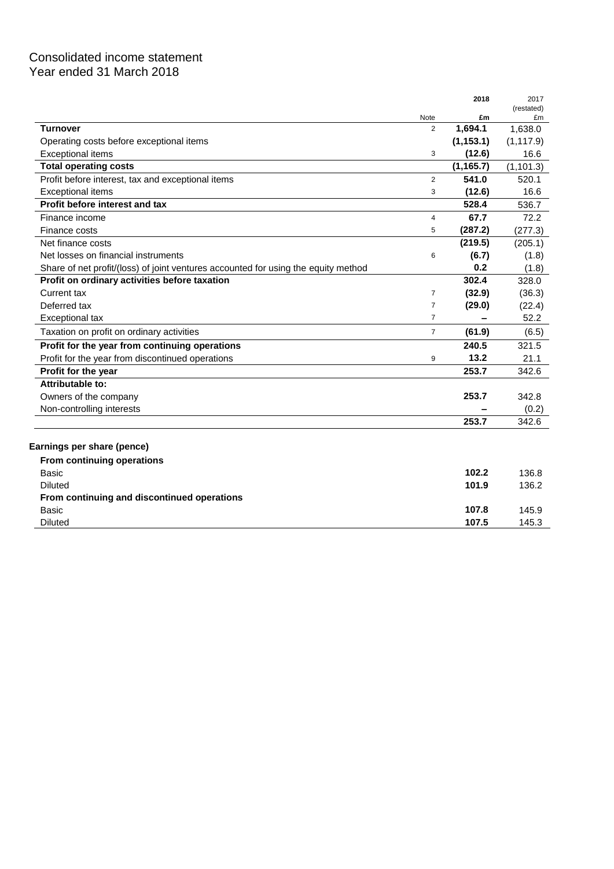# Consolidated income statement Year ended 31 March 2018

|                                                                                    |                | 2018       | 2017             |
|------------------------------------------------------------------------------------|----------------|------------|------------------|
|                                                                                    | Note           | £m         | (restated)<br>£m |
| <b>Turnover</b>                                                                    | $\overline{2}$ | 1,694.1    | 1,638.0          |
| Operating costs before exceptional items                                           |                | (1, 153.1) | (1, 117.9)       |
| <b>Exceptional items</b>                                                           | 3              | (12.6)     | 16.6             |
| <b>Total operating costs</b>                                                       |                | (1, 165.7) | (1, 101.3)       |
| Profit before interest, tax and exceptional items                                  | $\overline{2}$ | 541.0      | 520.1            |
| <b>Exceptional items</b>                                                           | 3              | (12.6)     | 16.6             |
| Profit before interest and tax                                                     |                | 528.4      | 536.7            |
| Finance income                                                                     | $\overline{4}$ | 67.7       | 72.2             |
| Finance costs                                                                      | 5              | (287.2)    | (277.3)          |
| Net finance costs                                                                  |                | (219.5)    | (205.1)          |
| Net losses on financial instruments                                                | 6              | (6.7)      | (1.8)            |
| Share of net profit/(loss) of joint ventures accounted for using the equity method |                | 0.2        | (1.8)            |
| Profit on ordinary activities before taxation                                      |                | 302.4      | 328.0            |
| Current tax                                                                        | $\overline{7}$ | (32.9)     | (36.3)           |
| Deferred tax                                                                       | $\overline{7}$ | (29.0)     | (22.4)           |
| <b>Exceptional tax</b>                                                             | $\overline{7}$ | -          | 52.2             |
| Taxation on profit on ordinary activities                                          | $\overline{7}$ | (61.9)     | (6.5)            |
| Profit for the year from continuing operations                                     |                | 240.5      | 321.5            |
| Profit for the year from discontinued operations                                   | 9              | 13.2       | 21.1             |
| Profit for the year                                                                |                | 253.7      | 342.6            |
| Attributable to:                                                                   |                |            |                  |
| Owners of the company                                                              |                | 253.7      | 342.8            |
| Non-controlling interests                                                          |                |            | (0.2)            |
|                                                                                    |                | 253.7      | 342.6            |
|                                                                                    |                |            |                  |
| Earnings per share (pence)                                                         |                |            |                  |
| From continuing operations                                                         |                |            |                  |
| Basic                                                                              |                | 102.2      | 136.8            |
| <b>Diluted</b>                                                                     |                | 101.9      | 136.2            |
| From continuing and discontinued operations                                        |                |            |                  |
| Basic                                                                              |                | 107.8      | 145.9            |
| <b>Diluted</b>                                                                     |                | 107.5      | 145.3            |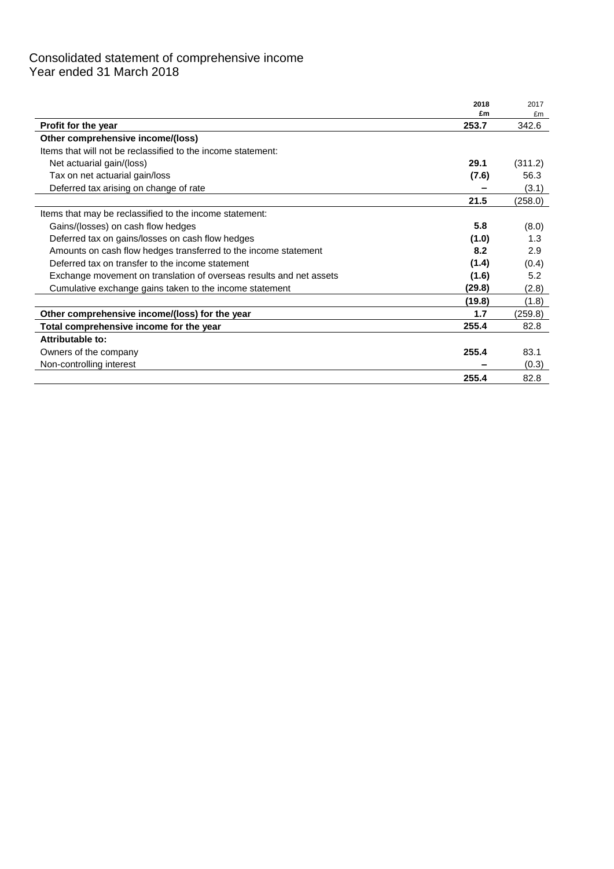# Consolidated statement of comprehensive income Year ended 31 March 2018

|                                                                     | 2018        | 2017        |
|---------------------------------------------------------------------|-------------|-------------|
|                                                                     | £m<br>253.7 | £m<br>342.6 |
| <b>Profit for the year</b><br>Other comprehensive income/(loss)     |             |             |
|                                                                     |             |             |
| Items that will not be reclassified to the income statement:        |             |             |
| Net actuarial gain/(loss)                                           | 29.1        | (311.2)     |
| Tax on net actuarial gain/loss                                      | (7.6)       | 56.3        |
| Deferred tax arising on change of rate                              |             | (3.1)       |
|                                                                     | 21.5        | (258.0)     |
| Items that may be reclassified to the income statement:             |             |             |
| Gains/(losses) on cash flow hedges                                  | 5.8         | (8.0)       |
| Deferred tax on gains/losses on cash flow hedges                    | (1.0)       | 1.3         |
| Amounts on cash flow hedges transferred to the income statement     | 8.2         | 2.9         |
| Deferred tax on transfer to the income statement                    | (1.4)       | (0.4)       |
| Exchange movement on translation of overseas results and net assets | (1.6)       | 5.2         |
| Cumulative exchange gains taken to the income statement             | (29.8)      | (2.8)       |
|                                                                     | (19.8)      | (1.8)       |
| Other comprehensive income/(loss) for the year                      | 1.7         | (259.8)     |
| Total comprehensive income for the year                             | 255.4       | 82.8        |
| Attributable to:                                                    |             |             |
| Owners of the company                                               | 255.4       | 83.1        |
| Non-controlling interest                                            |             | (0.3)       |
|                                                                     | 255.4       | 82.8        |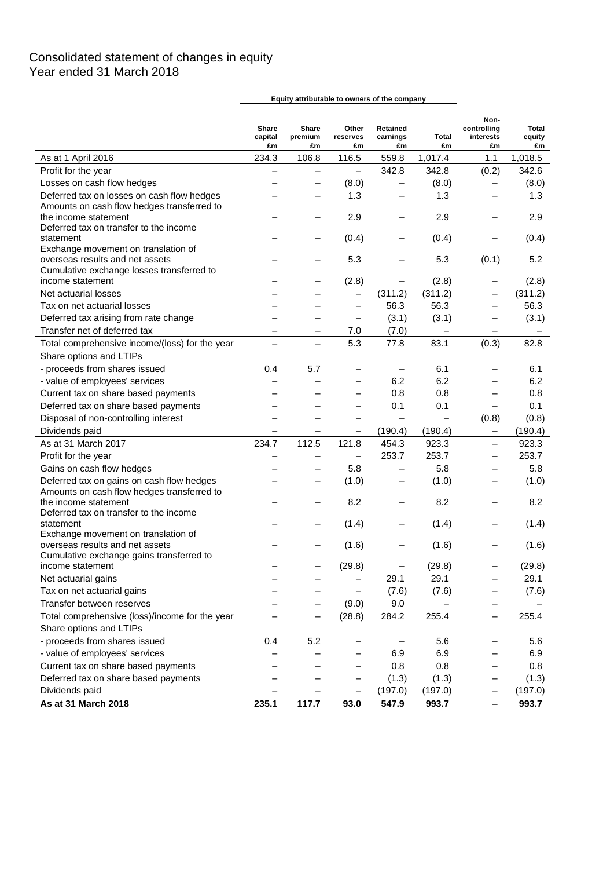# Consolidated statement of changes in equity Year ended 31 March 2018

|                                                                        | <b>Share</b><br>capital<br>£m | Share<br>premium<br>£m   | Other<br>reserves<br>£m  | Retained<br>earnings<br>£m | Total<br>£m              | Non-<br>controlling<br>interests<br>£m | Total<br>equity<br>£m |
|------------------------------------------------------------------------|-------------------------------|--------------------------|--------------------------|----------------------------|--------------------------|----------------------------------------|-----------------------|
| As at 1 April 2016                                                     | 234.3                         | 106.8                    | 116.5                    | 559.8                      | 1,017.4                  | 1.1                                    | 1,018.5               |
| Profit for the year                                                    | $\overline{\phantom{0}}$      | —                        | $\qquad \qquad -$        | 342.8                      | 342.8                    | (0.2)                                  | 342.6                 |
| Losses on cash flow hedges                                             |                               | —                        | (8.0)                    | $\qquad \qquad -$          | (8.0)                    | $\qquad \qquad -$                      | (8.0)                 |
| Deferred tax on losses on cash flow hedges                             |                               | —                        | 1.3                      | —                          | 1.3                      | $\overline{\phantom{0}}$               | 1.3                   |
| Amounts on cash flow hedges transferred to                             |                               |                          |                          |                            |                          |                                        |                       |
| the income statement                                                   |                               |                          | 2.9                      |                            | 2.9                      |                                        | 2.9                   |
| Deferred tax on transfer to the income                                 |                               |                          |                          |                            |                          |                                        |                       |
| statement                                                              |                               | -                        | (0.4)                    | —                          | (0.4)                    |                                        | (0.4)                 |
| Exchange movement on translation of<br>overseas results and net assets |                               |                          | 5.3                      |                            | 5.3                      | (0.1)                                  | 5.2                   |
| Cumulative exchange losses transferred to                              |                               |                          |                          |                            |                          |                                        |                       |
| income statement                                                       |                               | -                        | (2.8)                    | -                          | (2.8)                    |                                        | (2.8)                 |
| Net actuarial losses                                                   |                               |                          | $\overline{\phantom{0}}$ | (311.2)                    | (311.2)                  |                                        | (311.2)               |
| Tax on net actuarial losses                                            |                               |                          | $\overline{\phantom{0}}$ | 56.3                       | 56.3                     |                                        | 56.3                  |
| Deferred tax arising from rate change                                  |                               | -                        | -                        | (3.1)                      | (3.1)                    |                                        | (3.1)                 |
| Transfer net of deferred tax                                           |                               | -                        | 7.0                      | (7.0)                      | $\overline{\phantom{0}}$ |                                        |                       |
|                                                                        |                               |                          | 5.3                      |                            | 83.1                     | (0.3)                                  |                       |
| Total comprehensive income/(loss) for the year                         | $\qquad \qquad -$             | $\overline{\phantom{0}}$ |                          | 77.8                       |                          |                                        | 82.8                  |
| Share options and LTIPs                                                |                               |                          |                          |                            |                          |                                        |                       |
| - proceeds from shares issued                                          | 0.4                           | 5.7                      | -                        | $\qquad \qquad -$          | 6.1                      |                                        | 6.1                   |
| - value of employees' services                                         |                               |                          | —                        | 6.2                        | 6.2                      |                                        | 6.2                   |
| Current tax on share based payments                                    |                               | -                        | -                        | 0.8                        | 0.8                      | —                                      | 0.8                   |
| Deferred tax on share based payments                                   |                               |                          | —                        | 0.1                        | 0.1                      | $\qquad \qquad -$                      | 0.1                   |
| Disposal of non-controlling interest                                   |                               | —                        | —                        | $\overline{\phantom{0}}$   | $\qquad \qquad -$        | (0.8)                                  | (0.8)                 |
| Dividends paid                                                         | —                             | —                        | —                        | (190.4)                    | (190.4)                  | -                                      | (190.4)               |
| As at 31 March 2017                                                    | 234.7                         | 112.5                    | 121.8                    | 454.3                      | 923.3                    | $\overline{\phantom{0}}$               | 923.3                 |
| Profit for the year                                                    |                               | —                        | $\qquad \qquad -$        | 253.7                      | 253.7                    |                                        | 253.7                 |
| Gains on cash flow hedges                                              |                               | —                        | 5.8                      | $\qquad \qquad -$          | 5.8                      |                                        | 5.8                   |
| Deferred tax on gains on cash flow hedges                              |                               | —                        | (1.0)                    | -                          | (1.0)                    |                                        | (1.0)                 |
| Amounts on cash flow hedges transferred to                             |                               |                          |                          |                            |                          |                                        |                       |
| the income statement                                                   |                               |                          | 8.2                      |                            | 8.2                      |                                        | 8.2                   |
| Deferred tax on transfer to the income<br>statement                    |                               |                          | (1.4)                    | -                          | (1.4)                    |                                        | (1.4)                 |
| Exchange movement on translation of                                    |                               |                          |                          |                            |                          |                                        |                       |
| overseas results and net assets                                        |                               |                          | (1.6)                    |                            | (1.6)                    |                                        | (1.6)                 |
| Cumulative exchange gains transferred to                               |                               |                          |                          |                            |                          |                                        |                       |
| income statement                                                       |                               |                          | (29.8)                   |                            | (29.8)                   |                                        | (29.8)                |
| Net actuarial gains                                                    |                               |                          | -                        | 29.1                       | 29.1                     |                                        | 29.1                  |
| Tax on net actuarial gains                                             |                               |                          | -                        | (7.6)                      | (7.6)                    |                                        | (7.6)                 |
| Transfer between reserves                                              | -                             | $\qquad \qquad -$        | (9.0)                    | 9.0                        |                          |                                        |                       |
| Total comprehensive (loss)/income for the year                         |                               | —                        | (28.8)                   | 284.2                      | 255.4                    | $\qquad \qquad -$                      | 255.4                 |
| Share options and LTIPs                                                |                               |                          |                          |                            |                          |                                        |                       |
| - proceeds from shares issued                                          | 0.4                           | 5.2                      |                          |                            | 5.6                      |                                        | 5.6                   |
| - value of employees' services                                         |                               |                          | -                        | 6.9                        | 6.9                      |                                        | 6.9                   |
| Current tax on share based payments                                    |                               |                          | —                        | 0.8                        | 0.8                      |                                        | 0.8                   |
| Deferred tax on share based payments                                   |                               |                          | —                        | (1.3)                      | (1.3)                    |                                        | (1.3)                 |
| Dividends paid                                                         |                               | —                        | $\qquad \qquad -$        | (197.0)                    | (197.0)                  |                                        | (197.0)               |
| As at 31 March 2018                                                    | 235.1                         | 117.7                    | 93.0                     | 547.9                      | 993.7                    |                                        | 993.7                 |
|                                                                        |                               |                          |                          |                            |                          |                                        |                       |

**Equity attributable to owners of the company**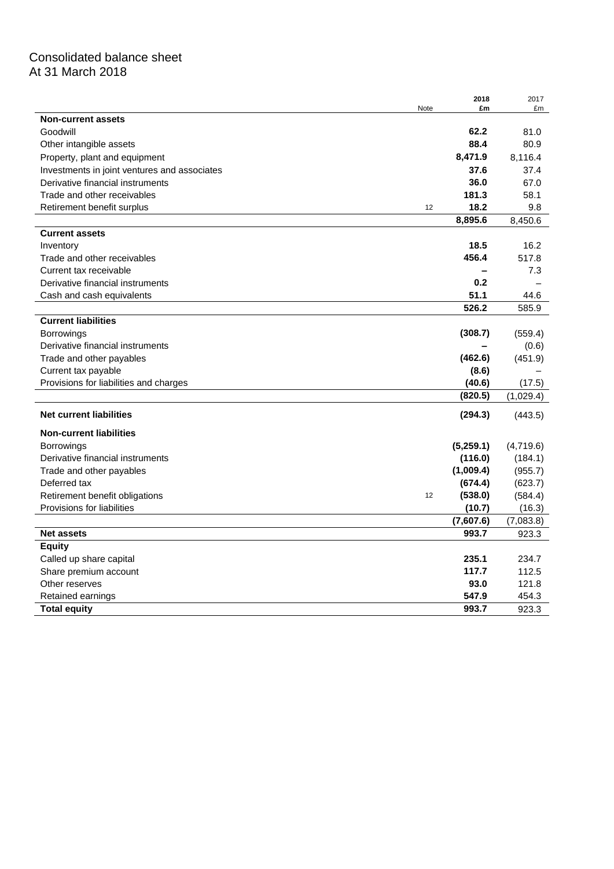# Consolidated balance sheet At 31 March 2018

|                                              |      | 2018         | 2017         |
|----------------------------------------------|------|--------------|--------------|
|                                              | Note | £m           | £m           |
| <b>Non-current assets</b>                    |      |              |              |
| Goodwill                                     |      | 62.2<br>88.4 | 81.0<br>80.9 |
| Other intangible assets                      |      |              |              |
| Property, plant and equipment                |      | 8,471.9      | 8,116.4      |
| Investments in joint ventures and associates |      | 37.6         | 37.4         |
| Derivative financial instruments             |      | 36.0         | 67.0         |
| Trade and other receivables                  |      | 181.3        | 58.1         |
| Retirement benefit surplus                   | 12   | 18.2         | 9.8          |
|                                              |      | 8,895.6      | 8,450.6      |
| <b>Current assets</b>                        |      |              |              |
| Inventory                                    |      | 18.5         | 16.2         |
| Trade and other receivables                  |      | 456.4        | 517.8        |
| Current tax receivable                       |      |              | 7.3          |
| Derivative financial instruments             |      | 0.2          |              |
| Cash and cash equivalents                    |      | 51.1         | 44.6         |
|                                              |      | 526.2        | 585.9        |
| <b>Current liabilities</b>                   |      |              |              |
| <b>Borrowings</b>                            |      | (308.7)      | (559.4)      |
| Derivative financial instruments             |      |              | (0.6)        |
| Trade and other payables                     |      | (462.6)      | (451.9)      |
| Current tax payable                          |      | (8.6)        |              |
| Provisions for liabilities and charges       |      | (40.6)       | (17.5)       |
|                                              |      | (820.5)      | (1,029.4)    |
| <b>Net current liabilities</b>               |      | (294.3)      | (443.5)      |
| <b>Non-current liabilities</b>               |      |              |              |
| <b>Borrowings</b>                            |      | (5,259.1)    | (4,719.6)    |
| Derivative financial instruments             |      | (116.0)      | (184.1)      |
| Trade and other payables                     |      | (1,009.4)    | (955.7)      |
| Deferred tax                                 |      | (674.4)      | (623.7)      |
| Retirement benefit obligations               | 12   | (538.0)      | (584.4)      |
| Provisions for liabilities                   |      | (10.7)       | (16.3)       |
|                                              |      | (7,607.6)    | (7,083.8)    |
| <b>Net assets</b>                            |      | 993.7        | 923.3        |
| <b>Equity</b>                                |      |              |              |
| Called up share capital                      |      | 235.1        | 234.7        |
| Share premium account                        |      | 117.7        | 112.5        |
| Other reserves                               |      | 93.0         | 121.8        |
| Retained earnings                            |      | 547.9        | 454.3        |
| <b>Total equity</b>                          |      | 993.7        | 923.3        |
|                                              |      |              |              |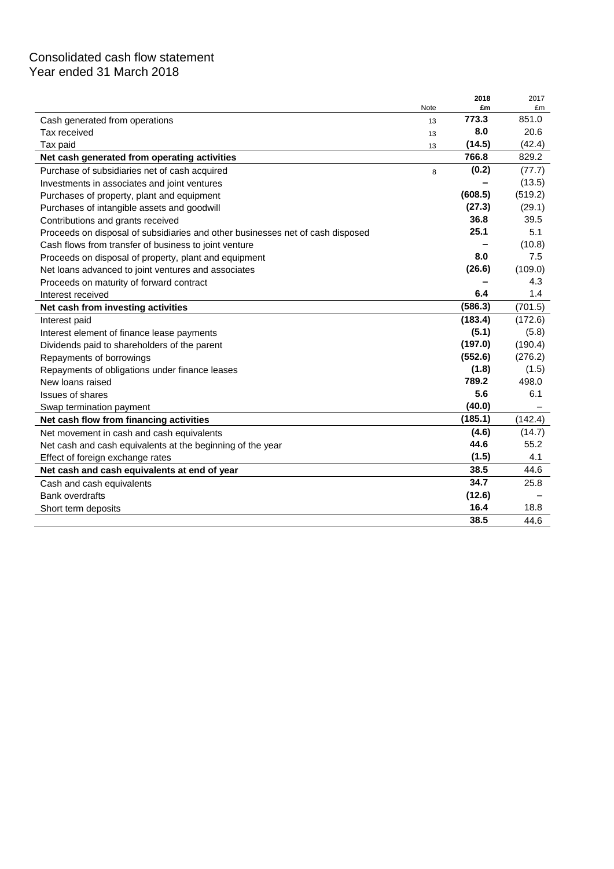# Consolidated cash flow statement Year ended 31 March 2018

|                                                                                |      | 2018    | 2017    |
|--------------------------------------------------------------------------------|------|---------|---------|
|                                                                                | Note | £m      | £m      |
| Cash generated from operations                                                 | 13   | 773.3   | 851.0   |
| Tax received                                                                   | 13   | 8.0     | 20.6    |
| Tax paid                                                                       | 13   | (14.5)  | (42.4)  |
| Net cash generated from operating activities                                   |      | 766.8   | 829.2   |
| Purchase of subsidiaries net of cash acquired                                  | 8    | (0.2)   | (77.7)  |
| Investments in associates and joint ventures                                   |      |         | (13.5)  |
| Purchases of property, plant and equipment                                     |      | (608.5) | (519.2) |
| Purchases of intangible assets and goodwill                                    |      | (27.3)  | (29.1)  |
| Contributions and grants received                                              |      | 36.8    | 39.5    |
| Proceeds on disposal of subsidiaries and other businesses net of cash disposed |      | 25.1    | 5.1     |
| Cash flows from transfer of business to joint venture                          |      |         | (10.8)  |
| Proceeds on disposal of property, plant and equipment                          |      | 8.0     | 7.5     |
| Net loans advanced to joint ventures and associates                            |      | (26.6)  | (109.0) |
| Proceeds on maturity of forward contract                                       |      |         | 4.3     |
| Interest received                                                              |      | 6.4     | 1.4     |
| Net cash from investing activities                                             |      | (586.3) | (701.5) |
| Interest paid                                                                  |      | (183.4) | (172.6) |
| Interest element of finance lease payments                                     |      | (5.1)   | (5.8)   |
| Dividends paid to shareholders of the parent                                   |      | (197.0) | (190.4) |
| Repayments of borrowings                                                       |      | (552.6) | (276.2) |
| Repayments of obligations under finance leases                                 |      | (1.8)   | (1.5)   |
| New loans raised                                                               |      | 789.2   | 498.0   |
| <b>Issues of shares</b>                                                        |      | 5.6     | 6.1     |
| Swap termination payment                                                       |      | (40.0)  |         |
| Net cash flow from financing activities                                        |      | (185.1) | (142.4) |
| Net movement in cash and cash equivalents                                      |      | (4.6)   | (14.7)  |
| Net cash and cash equivalents at the beginning of the year                     |      | 44.6    | 55.2    |
| Effect of foreign exchange rates                                               |      | (1.5)   | 4.1     |
| Net cash and cash equivalents at end of year                                   |      | 38.5    | 44.6    |
| Cash and cash equivalents                                                      |      | 34.7    | 25.8    |
| <b>Bank overdrafts</b>                                                         |      | (12.6)  |         |
| Short term deposits                                                            |      | 16.4    | 18.8    |
|                                                                                |      | 38.5    | 44.6    |
|                                                                                |      |         |         |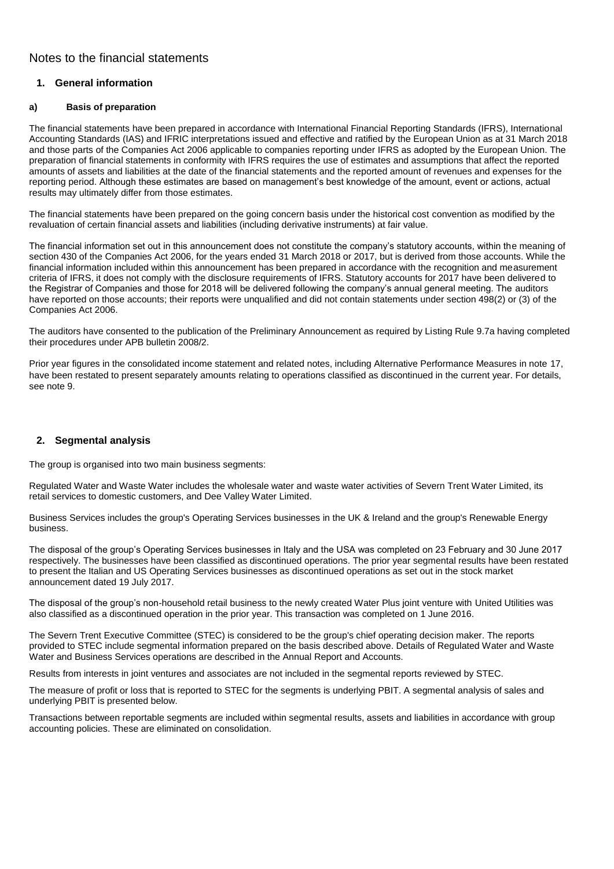## **1. General information**

### **a) Basis of preparation**

The financial statements have been prepared in accordance with International Financial Reporting Standards (IFRS), International Accounting Standards (IAS) and IFRIC interpretations issued and effective and ratified by the European Union as at 31 March 2018 and those parts of the Companies Act 2006 applicable to companies reporting under IFRS as adopted by the European Union. The preparation of financial statements in conformity with IFRS requires the use of estimates and assumptions that affect the reported amounts of assets and liabilities at the date of the financial statements and the reported amount of revenues and expenses for the reporting period. Although these estimates are based on management's best knowledge of the amount, event or actions, actual results may ultimately differ from those estimates.

The financial statements have been prepared on the going concern basis under the historical cost convention as modified by the revaluation of certain financial assets and liabilities (including derivative instruments) at fair value.

The financial information set out in this announcement does not constitute the company's statutory accounts, within the meaning of section 430 of the Companies Act 2006, for the years ended 31 March 2018 or 2017, but is derived from those accounts. While the financial information included within this announcement has been prepared in accordance with the recognition and measurement criteria of IFRS, it does not comply with the disclosure requirements of IFRS. Statutory accounts for 2017 have been delivered to the Registrar of Companies and those for 2018 will be delivered following the company's annual general meeting. The auditors have reported on those accounts; their reports were unqualified and did not contain statements under section 498(2) or (3) of the Companies Act 2006.

The auditors have consented to the publication of the Preliminary Announcement as required by Listing Rule 9.7a having completed their procedures under APB bulletin 2008/2.

Prior year figures in the consolidated income statement and related notes, including Alternative Performance Measures in note 17, have been restated to present separately amounts relating to operations classified as discontinued in the current year. For details, see note 9.

## **2. Segmental analysis**

The group is organised into two main business segments:

Regulated Water and Waste Water includes the wholesale water and waste water activities of Severn Trent Water Limited, its retail services to domestic customers, and Dee Valley Water Limited.

Business Services includes the group's Operating Services businesses in the UK & Ireland and the group's Renewable Energy business.

The disposal of the group's Operating Services businesses in Italy and the USA was completed on 23 February and 30 June 2017 respectively. The businesses have been classified as discontinued operations. The prior year segmental results have been restated to present the Italian and US Operating Services businesses as discontinued operations as set out in the stock market announcement dated 19 July 2017.

The disposal of the group's non-household retail business to the newly created Water Plus joint venture with United Utilities was also classified as a discontinued operation in the prior year. This transaction was completed on 1 June 2016.

The Severn Trent Executive Committee (STEC) is considered to be the group's chief operating decision maker. The reports provided to STEC include segmental information prepared on the basis described above. Details of Regulated Water and Waste Water and Business Services operations are described in the Annual Report and Accounts.

Results from interests in joint ventures and associates are not included in the segmental reports reviewed by STEC.

The measure of profit or loss that is reported to STEC for the segments is underlying PBIT. A segmental analysis of sales and underlying PBIT is presented below.

Transactions between reportable segments are included within segmental results, assets and liabilities in accordance with group accounting policies. These are eliminated on consolidation.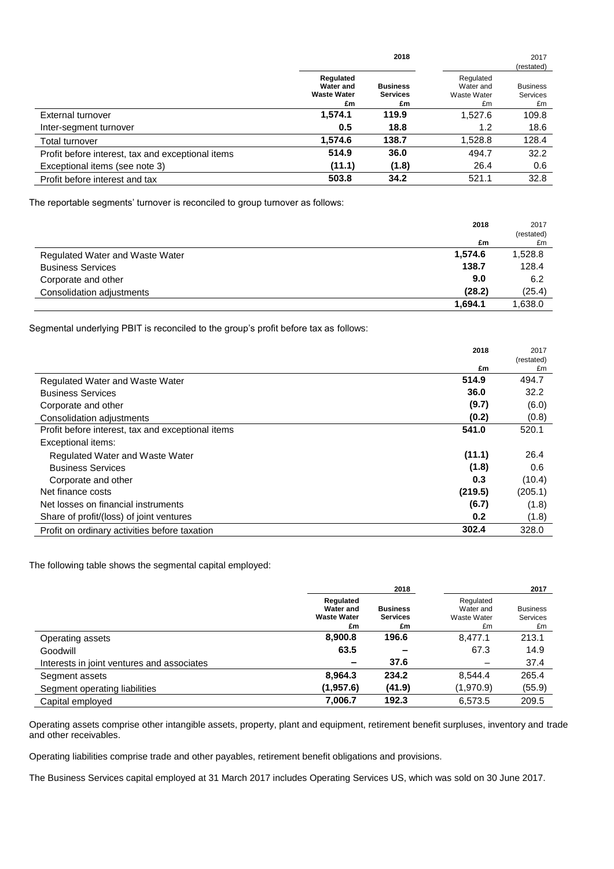|                                                   |                                                    | 2018                                     |                                             | 2017                                     |
|---------------------------------------------------|----------------------------------------------------|------------------------------------------|---------------------------------------------|------------------------------------------|
|                                                   |                                                    |                                          |                                             | (restated)                               |
|                                                   | Regulated<br>Water and<br><b>Waste Water</b><br>£m | <b>Business</b><br><b>Services</b><br>£m | Regulated<br>Water and<br>Waste Water<br>£m | <b>Business</b><br><b>Services</b><br>£m |
| External turnover                                 | 1.574.1                                            | 119.9                                    | 1,527.6                                     | 109.8                                    |
| Inter-segment turnover                            | 0.5                                                | 18.8                                     | 1.2                                         | 18.6                                     |
| Total turnover                                    | 1,574.6                                            | 138.7                                    | 1,528.8                                     | 128.4                                    |
| Profit before interest, tax and exceptional items | 514.9                                              | 36.0                                     | 494.7                                       | 32.2                                     |
| Exceptional items (see note 3)                    | (11.1)                                             | (1.8)                                    | 26.4                                        | 0.6                                      |
| Profit before interest and tax                    | 503.8                                              | 34.2                                     | 521.1                                       | 32.8                                     |

The reportable segments' turnover is reconciled to group turnover as follows:

|                                 | 2018    | 2017       |
|---------------------------------|---------|------------|
|                                 |         | (restated) |
|                                 | £m      | £m         |
| Regulated Water and Waste Water | 1,574.6 | 1,528.8    |
| <b>Business Services</b>        | 138.7   | 128.4      |
| Corporate and other             | 9.0     | 6.2        |
| Consolidation adjustments       | (28.2)  | (25.4)     |
|                                 | 1.694.1 | .638.0     |

Segmental underlying PBIT is reconciled to the group's profit before tax as follows:

|                                                   | 2018    | 2017<br>(restated) |
|---------------------------------------------------|---------|--------------------|
|                                                   | £m      | £m                 |
| Regulated Water and Waste Water                   | 514.9   | 494.7              |
| <b>Business Services</b>                          | 36.0    | 32.2               |
| Corporate and other                               | (9.7)   | (6.0)              |
| Consolidation adjustments                         | (0.2)   | (0.8)              |
| Profit before interest, tax and exceptional items | 541.0   | 520.1              |
| Exceptional items:                                |         |                    |
| Regulated Water and Waste Water                   | (11.1)  | 26.4               |
| <b>Business Services</b>                          | (1.8)   | 0.6                |
| Corporate and other                               | 0.3     | (10.4)             |
| Net finance costs                                 | (219.5) | (205.1)            |
| Net losses on financial instruments               | (6.7)   | (1.8)              |
| Share of profit/(loss) of joint ventures          | 0.2     | (1.8)              |
| Profit on ordinary activities before taxation     | 302.4   | 328.0              |

The following table shows the segmental capital employed:

|                                            | 2018                                               |                                          |                                             | 2017                              |  |
|--------------------------------------------|----------------------------------------------------|------------------------------------------|---------------------------------------------|-----------------------------------|--|
|                                            | Regulated<br>Water and<br><b>Waste Water</b><br>£m | <b>Business</b><br><b>Services</b><br>£m | Regulated<br>Water and<br>Waste Water<br>£m | <b>Business</b><br>Services<br>£m |  |
| Operating assets                           | 8,900.8                                            | 196.6                                    | 8.477.1                                     | 213.1                             |  |
| Goodwill                                   | 63.5                                               |                                          | 67.3                                        | 14.9                              |  |
| Interests in joint ventures and associates | -                                                  | 37.6                                     |                                             | 37.4                              |  |
| Segment assets                             | 8,964.3                                            | 234.2                                    | 8.544.4                                     | 265.4                             |  |
| Segment operating liabilities              | (1,957.6)                                          | (41.9)                                   | (1,970.9)                                   | (55.9)                            |  |
| Capital employed                           | 7,006.7                                            | 192.3                                    | 6.573.5                                     | 209.5                             |  |

Operating assets comprise other intangible assets, property, plant and equipment, retirement benefit surpluses, inventory and trade and other receivables.

Operating liabilities comprise trade and other payables, retirement benefit obligations and provisions.

The Business Services capital employed at 31 March 2017 includes Operating Services US, which was sold on 30 June 2017.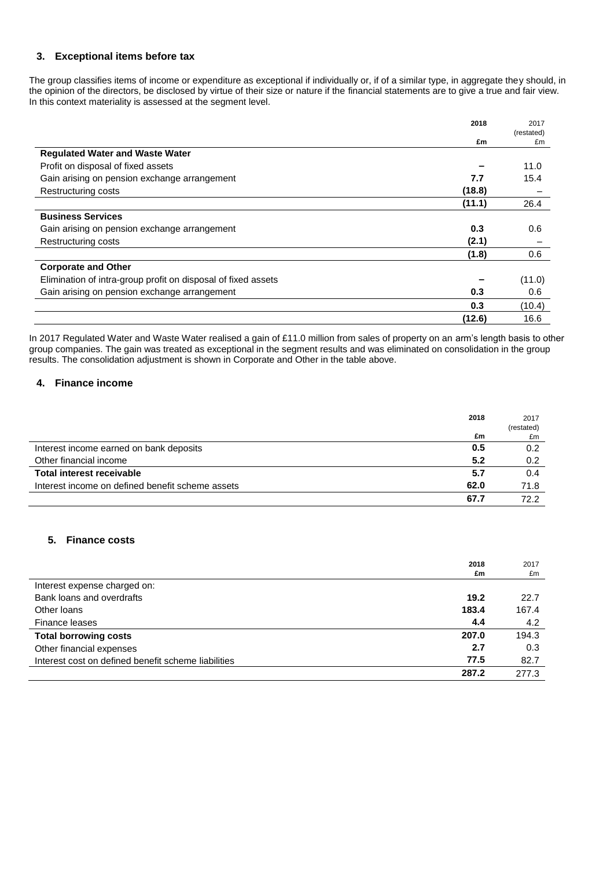### **3. Exceptional items before tax**

The group classifies items of income or expenditure as exceptional if individually or, if of a similar type, in aggregate they should, in the opinion of the directors, be disclosed by virtue of their size or nature if the financial statements are to give a true and fair view. In this context materiality is assessed at the segment level.

|                                                               | 2018   | 2017       |
|---------------------------------------------------------------|--------|------------|
|                                                               |        | (restated) |
|                                                               | £m     | £m         |
| <b>Regulated Water and Waste Water</b>                        |        |            |
| Profit on disposal of fixed assets                            |        | 11.0       |
| Gain arising on pension exchange arrangement                  | 7.7    | 15.4       |
| Restructuring costs                                           | (18.8) |            |
|                                                               | (11.1) | 26.4       |
| <b>Business Services</b>                                      |        |            |
| Gain arising on pension exchange arrangement                  | 0.3    | 0.6        |
| Restructuring costs                                           | (2.1)  |            |
|                                                               | (1.8)  | 0.6        |
| <b>Corporate and Other</b>                                    |        |            |
| Elimination of intra-group profit on disposal of fixed assets |        | (11.0)     |
| Gain arising on pension exchange arrangement                  | 0.3    | 0.6        |
|                                                               | 0.3    | (10.4)     |
|                                                               | (12.6) | 16.6       |

In 2017 Regulated Water and Waste Water realised a gain of £11.0 million from sales of property on an arm's length basis to other group companies. The gain was treated as exceptional in the segment results and was eliminated on consolidation in the group results. The consolidation adjustment is shown in Corporate and Other in the table above.

### **4. Finance income**

|                                                  | 2018 | 2017<br>(restated) |
|--------------------------------------------------|------|--------------------|
|                                                  | £m   | £m                 |
| Interest income earned on bank deposits          | 0.5  | 0.2                |
| Other financial income                           | 5.2  | 0.2                |
| Total interest receivable                        | 5.7  | 0.4                |
| Interest income on defined benefit scheme assets | 62.0 | 71.8               |
|                                                  | 67.7 | 72 2               |

## **5. Finance costs**

|                                                     | 2018  | 2017  |
|-----------------------------------------------------|-------|-------|
|                                                     | £m    | £m    |
| Interest expense charged on:                        |       |       |
| Bank loans and overdrafts                           | 19.2  | 22.7  |
| Other loans                                         | 183.4 | 167.4 |
| Finance leases                                      | 4.4   | 4.2   |
| <b>Total borrowing costs</b>                        | 207.0 | 194.3 |
| Other financial expenses                            | 2.7   | 0.3   |
| Interest cost on defined benefit scheme liabilities | 77.5  | 82.7  |
|                                                     | 287.2 | 277.3 |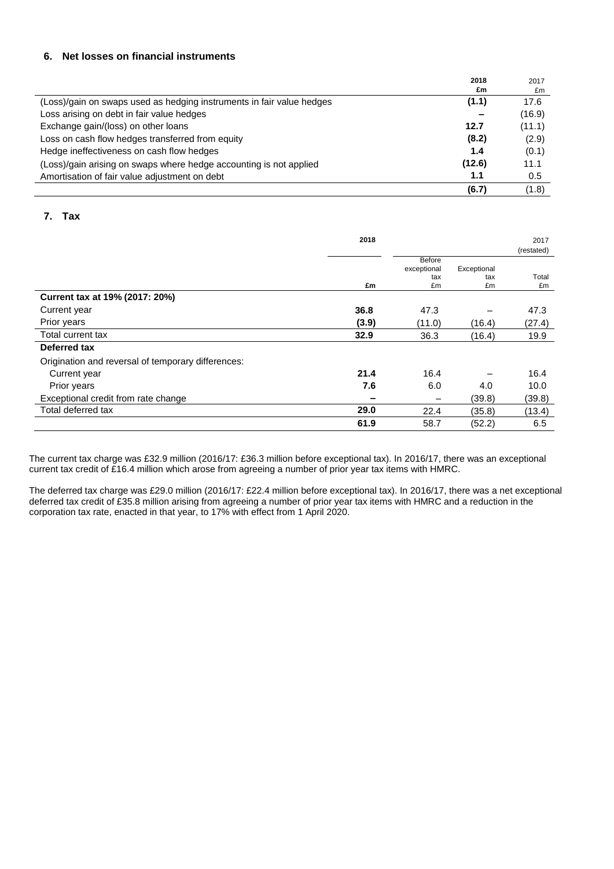### **6. Net losses on financial instruments**

|                                                                       | 2018   | 2017   |
|-----------------------------------------------------------------------|--------|--------|
|                                                                       | £m     | £m     |
| (Loss)/gain on swaps used as hedging instruments in fair value hedges | (1.1)  | 17.6   |
| Loss arising on debt in fair value hedges                             |        | (16.9) |
| Exchange gain/(loss) on other loans                                   | 12.7   | (11.1) |
| Loss on cash flow hedges transferred from equity                      | (8.2)  | (2.9)  |
| Hedge ineffectiveness on cash flow hedges                             | 1.4    | (0.1)  |
| (Loss)/gain arising on swaps where hedge accounting is not applied    | (12.6) | 11.1   |
| Amortisation of fair value adjustment on debt                         | 1.1    | 0.5    |
|                                                                       | (6.7)  | (1.8)  |

## **7. Tax**

|                                                    | 2018  |                              |             | 2017       |
|----------------------------------------------------|-------|------------------------------|-------------|------------|
|                                                    |       |                              |             | (restated) |
|                                                    |       | <b>Before</b><br>exceptional | Exceptional |            |
|                                                    |       | tax                          | tax         | Total      |
|                                                    | £m    | £m                           | £m          | £m         |
| Current tax at 19% (2017: 20%)                     |       |                              |             |            |
| Current year                                       | 36.8  | 47.3                         |             | 47.3       |
| Prior years                                        | (3.9) | (11.0)                       | (16.4)      | (27.4)     |
| Total current tax                                  | 32.9  | 36.3                         | (16.4)      | 19.9       |
| Deferred tax                                       |       |                              |             |            |
| Origination and reversal of temporary differences: |       |                              |             |            |
| Current year                                       | 21.4  | 16.4                         |             | 16.4       |
| Prior years                                        | 7.6   | 6.0                          | 4.0         | 10.0       |
| Exceptional credit from rate change                | -     |                              | (39.8)      | (39.8)     |
| Total deferred tax                                 | 29.0  | 22.4                         | (35.8)      | (13.4)     |
|                                                    | 61.9  | 58.7                         | (52.2)      | 6.5        |

The current tax charge was £32.9 million (2016/17: £36.3 million before exceptional tax). In 2016/17, there was an exceptional current tax credit of £16.4 million which arose from agreeing a number of prior year tax items with HMRC.

The deferred tax charge was £29.0 million (2016/17: £22.4 million before exceptional tax). In 2016/17, there was a net exceptional deferred tax credit of £35.8 million arising from agreeing a number of prior year tax items with HMRC and a reduction in the corporation tax rate, enacted in that year, to 17% with effect from 1 April 2020.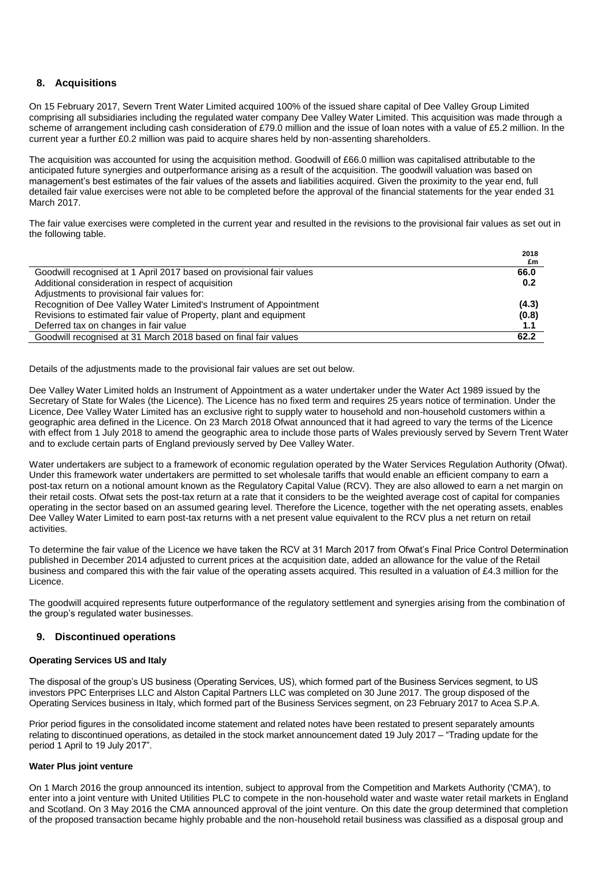### **8. Acquisitions**

On 15 February 2017, Severn Trent Water Limited acquired 100% of the issued share capital of Dee Valley Group Limited comprising all subsidiaries including the regulated water company Dee Valley Water Limited. This acquisition was made through a scheme of arrangement including cash consideration of £79.0 million and the issue of loan notes with a value of £5.2 million. In the current year a further £0.2 million was paid to acquire shares held by non-assenting shareholders.

The acquisition was accounted for using the acquisition method. Goodwill of £66.0 million was capitalised attributable to the anticipated future synergies and outperformance arising as a result of the acquisition. The goodwill valuation was based on management's best estimates of the fair values of the assets and liabilities acquired. Given the proximity to the year end, full detailed fair value exercises were not able to be completed before the approval of the financial statements for the year ended 31 March 2017.

The fair value exercises were completed in the current year and resulted in the revisions to the provisional fair values as set out in the following table.

|                                                                      | 2018  |
|----------------------------------------------------------------------|-------|
|                                                                      | £m    |
| Goodwill recognised at 1 April 2017 based on provisional fair values | 66.0  |
| Additional consideration in respect of acquisition                   | 0.2   |
| Adjustments to provisional fair values for:                          |       |
| Recognition of Dee Valley Water Limited's Instrument of Appointment  | (4.3) |
| Revisions to estimated fair value of Property, plant and equipment   | (0.8) |
| Deferred tax on changes in fair value                                | 1.1   |
| Goodwill recognised at 31 March 2018 based on final fair values      | 62.2  |

Details of the adjustments made to the provisional fair values are set out below.

Dee Valley Water Limited holds an Instrument of Appointment as a water undertaker under the Water Act 1989 issued by the Secretary of State for Wales (the Licence). The Licence has no fixed term and requires 25 years notice of termination. Under the Licence, Dee Valley Water Limited has an exclusive right to supply water to household and non-household customers within a geographic area defined in the Licence. On 23 March 2018 Ofwat announced that it had agreed to vary the terms of the Licence with effect from 1 July 2018 to amend the geographic area to include those parts of Wales previously served by Severn Trent Water and to exclude certain parts of England previously served by Dee Valley Water.

Water undertakers are subject to a framework of economic regulation operated by the Water Services Regulation Authority (Ofwat). Under this framework water undertakers are permitted to set wholesale tariffs that would enable an efficient company to earn a post-tax return on a notional amount known as the Regulatory Capital Value (RCV). They are also allowed to earn a net margin on their retail costs. Ofwat sets the post-tax return at a rate that it considers to be the weighted average cost of capital for companies operating in the sector based on an assumed gearing level. Therefore the Licence, together with the net operating assets, enables Dee Valley Water Limited to earn post-tax returns with a net present value equivalent to the RCV plus a net return on retail activities.

To determine the fair value of the Licence we have taken the RCV at 31 March 2017 from Ofwat's Final Price Control Determination published in December 2014 adjusted to current prices at the acquisition date, added an allowance for the value of the Retail business and compared this with the fair value of the operating assets acquired. This resulted in a valuation of £4.3 million for the Licence.

The goodwill acquired represents future outperformance of the regulatory settlement and synergies arising from the combination of the group's regulated water businesses.

### **9. Discontinued operations**

#### **Operating Services US and Italy**

The disposal of the group's US business (Operating Services, US), which formed part of the Business Services segment, to US investors PPC Enterprises LLC and Alston Capital Partners LLC was completed on 30 June 2017. The group disposed of the Operating Services business in Italy, which formed part of the Business Services segment, on 23 February 2017 to Acea S.P.A.

Prior period figures in the consolidated income statement and related notes have been restated to present separately amounts relating to discontinued operations, as detailed in the stock market announcement dated 19 July 2017 – "Trading update for the period 1 April to 19 July 2017".

#### **Water Plus joint venture**

On 1 March 2016 the group announced its intention, subject to approval from the Competition and Markets Authority ('CMA'), to enter into a joint venture with United Utilities PLC to compete in the non-household water and waste water retail markets in England and Scotland. On 3 May 2016 the CMA announced approval of the joint venture. On this date the group determined that completion of the proposed transaction became highly probable and the non-household retail business was classified as a disposal group and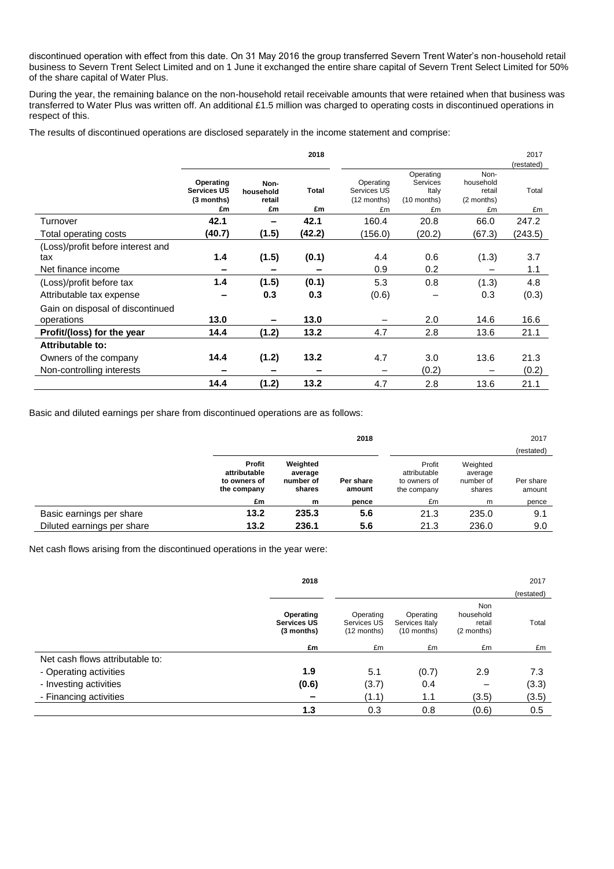discontinued operation with effect from this date. On 31 May 2016 the group transferred Severn Trent Water's non-household retail business to Severn Trent Select Limited and on 1 June it exchanged the entire share capital of Severn Trent Select Limited for 50% of the share capital of Water Plus.

During the year, the remaining balance on the non-household retail receivable amounts that were retained when that business was transferred to Water Plus was written off. An additional £1.5 million was charged to operating costs in discontinued operations in respect of this.

The results of discontinued operations are disclosed separately in the income statement and comprise:

|                                   |                                               |                             | 2018         |                                         |                                                 |                                           | 2017<br>(restated) |
|-----------------------------------|-----------------------------------------------|-----------------------------|--------------|-----------------------------------------|-------------------------------------------------|-------------------------------------------|--------------------|
|                                   | Operating<br><b>Services US</b><br>(3 months) | Non-<br>household<br>retail | <b>Total</b> | Operating<br>Services US<br>(12 months) | Operating<br>Services<br>Italy<br>$(10$ months) | Non-<br>household<br>retail<br>(2 months) | Total              |
|                                   | £m                                            | £m                          | £m           | £m                                      | £m                                              | £m                                        | £m                 |
| Turnover                          | 42.1                                          | $\overline{\phantom{a}}$    | 42.1         | 160.4                                   | 20.8                                            | 66.0                                      | 247.2              |
| Total operating costs             | (40.7)                                        | (1.5)                       | (42.2)       | (156.0)                                 | (20.2)                                          | (67.3)                                    | (243.5)            |
| (Loss)/profit before interest and |                                               |                             |              |                                         |                                                 |                                           |                    |
| tax                               | 1.4                                           | (1.5)                       | (0.1)        | 4.4                                     | 0.6                                             | (1.3)                                     | 3.7                |
| Net finance income                |                                               |                             |              | 0.9                                     | 0.2                                             |                                           | 1.1                |
| (Loss)/profit before tax          | 1.4                                           | (1.5)                       | (0.1)        | 5.3                                     | 0.8                                             | (1.3)                                     | 4.8                |
| Attributable tax expense          |                                               | 0.3                         | 0.3          | (0.6)                                   |                                                 | 0.3                                       | (0.3)              |
| Gain on disposal of discontinued  |                                               |                             |              |                                         |                                                 |                                           |                    |
| operations                        | 13.0                                          |                             | 13.0         |                                         | 2.0                                             | 14.6                                      | 16.6               |
| Profit/(loss) for the year        | 14.4                                          | (1.2)                       | 13.2         | 4.7                                     | 2.8                                             | 13.6                                      | 21.1               |
| Attributable to:                  |                                               |                             |              |                                         |                                                 |                                           |                    |
| Owners of the company             | 14.4                                          | (1.2)                       | 13.2         | 4.7                                     | 3.0                                             | 13.6                                      | 21.3               |
| Non-controlling interests         |                                               |                             |              |                                         | (0.2)                                           |                                           | (0.2)              |
|                                   | 14.4                                          | (1.2)                       | 13.2         | 4.7                                     | 2.8                                             | 13.6                                      | 21.1               |

Basic and diluted earnings per share from discontinued operations are as follows:

|                            |                                                       |                                            | 2018                |                                                       |                                            | 2017                |
|----------------------------|-------------------------------------------------------|--------------------------------------------|---------------------|-------------------------------------------------------|--------------------------------------------|---------------------|
|                            |                                                       |                                            |                     |                                                       |                                            | (restated)          |
|                            | Profit<br>attributable<br>to owners of<br>the company | Weighted<br>average<br>number of<br>shares | Per share<br>amount | Profit<br>attributable<br>to owners of<br>the company | Weighted<br>average<br>number of<br>shares | Per share<br>amount |
|                            | £m                                                    | m                                          | pence               | £m                                                    | m                                          | pence               |
| Basic earnings per share   | 13.2                                                  | 235.3                                      | 5.6                 | 21.3                                                  | 235.0                                      | 9.1                 |
| Diluted earnings per share | 13.2                                                  | 236.1                                      | 5.6                 | 21.3                                                  | 236.0                                      | 9.0                 |

Net cash flows arising from the discontinued operations in the year were:

|                                 | 2018                                          |                                         |                                            |                                          | 2017       |
|---------------------------------|-----------------------------------------------|-----------------------------------------|--------------------------------------------|------------------------------------------|------------|
|                                 |                                               |                                         |                                            |                                          | (restated) |
|                                 | Operating<br><b>Services US</b><br>(3 months) | Operating<br>Services US<br>(12 months) | Operating<br>Services Italy<br>(10 months) | Non<br>household<br>retail<br>(2 months) | Total      |
|                                 | £m                                            | £m                                      | £m                                         | £m                                       | £m         |
| Net cash flows attributable to: |                                               |                                         |                                            |                                          |            |
| - Operating activities          | 1.9                                           | 5.1                                     | (0.7)                                      | 2.9                                      | 7.3        |
| - Investing activities          | (0.6)                                         | (3.7)                                   | 0.4                                        |                                          | (3.3)      |
| - Financing activities          | $\overline{\phantom{0}}$                      | (1.1)                                   | 1.1                                        | (3.5)                                    | (3.5)      |
|                                 | 1.3                                           | 0.3                                     | 0.8                                        | (0.6)                                    | 0.5        |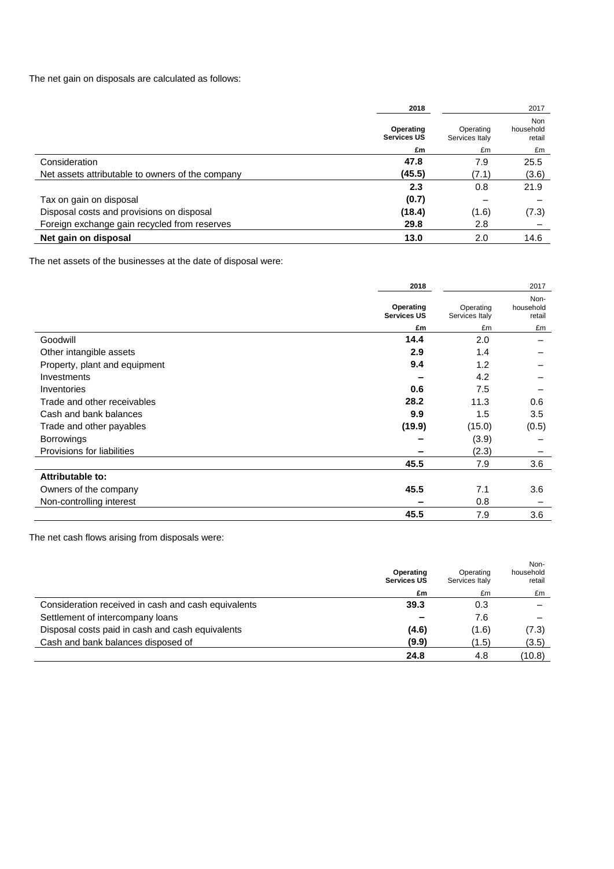The net gain on disposals are calculated as follows:

|                                                  | 2018                            |                             | 2017                              |
|--------------------------------------------------|---------------------------------|-----------------------------|-----------------------------------|
|                                                  | Operating<br><b>Services US</b> | Operating<br>Services Italy | <b>Non</b><br>household<br>retail |
|                                                  | £m                              | £m                          | £m                                |
| Consideration                                    | 47.8                            | 7.9                         | 25.5                              |
| Net assets attributable to owners of the company | (45.5)                          | (7.1)                       | (3.6)                             |
|                                                  | 2.3                             | 0.8                         | 21.9                              |
| Tax on gain on disposal                          | (0.7)                           |                             |                                   |
| Disposal costs and provisions on disposal        | (18.4)                          | (1.6)                       | (7.3)                             |
| Foreign exchange gain recycled from reserves     | 29.8                            | 2.8                         |                                   |
| Net gain on disposal                             | 13.0                            | 2.0                         | 14.6                              |

The net assets of the businesses at the date of disposal were:

|                               | 2018                            |                             | 2017                        |
|-------------------------------|---------------------------------|-----------------------------|-----------------------------|
|                               | Operating<br><b>Services US</b> | Operating<br>Services Italy | Non-<br>household<br>retail |
|                               | £m                              | £m                          | £m                          |
| Goodwill                      | 14.4                            | 2.0                         |                             |
| Other intangible assets       | 2.9                             | 1.4                         |                             |
| Property, plant and equipment | 9.4                             | 1.2                         |                             |
| Investments                   |                                 | 4.2                         |                             |
| Inventories                   | 0.6                             | 7.5                         |                             |
| Trade and other receivables   | 28.2                            | 11.3                        | 0.6                         |
| Cash and bank balances        | 9.9                             | 1.5                         | 3.5                         |
| Trade and other payables      | (19.9)                          | (15.0)                      | (0.5)                       |
| Borrowings                    |                                 | (3.9)                       |                             |
| Provisions for liabilities    |                                 | (2.3)                       |                             |
|                               | 45.5                            | 7.9                         | 3.6                         |
| Attributable to:              |                                 |                             |                             |
| Owners of the company         | 45.5                            | 7.1                         | 3.6                         |
| Non-controlling interest      |                                 | 0.8                         |                             |
|                               | 45.5                            | 7.9                         | 3.6                         |

The net cash flows arising from disposals were:

|                                                     | Operating<br><b>Services US</b> | Operating<br>Services Italy | Non-<br>household<br>retail |
|-----------------------------------------------------|---------------------------------|-----------------------------|-----------------------------|
|                                                     | £m                              | £m                          | £m                          |
| Consideration received in cash and cash equivalents | 39.3                            | 0.3                         |                             |
| Settlement of intercompany loans                    |                                 | 7.6                         |                             |
| Disposal costs paid in cash and cash equivalents    | (4.6)                           | (1.6)                       | (7.3)                       |
| Cash and bank balances disposed of                  | (9.9)                           | (1.5)                       | (3.5)                       |
|                                                     | 24.8                            | 4.8                         | (10.8)                      |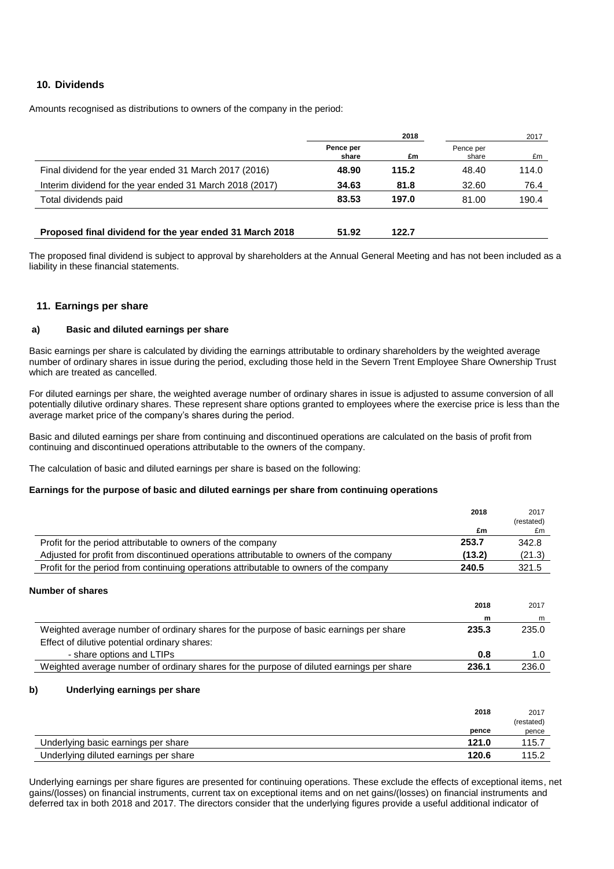### **10. Dividends**

Amounts recognised as distributions to owners of the company in the period:

|                                                          | 2018               |       |                    | 2017  |  |
|----------------------------------------------------------|--------------------|-------|--------------------|-------|--|
|                                                          | Pence per<br>share | £m    | Pence per<br>share | £m    |  |
| Final dividend for the year ended 31 March 2017 (2016)   | 48.90              | 115.2 | 48.40              | 114.0 |  |
| Interim dividend for the year ended 31 March 2018 (2017) | 34.63              | 81.8  | 32.60              | 76.4  |  |
| Total dividends paid                                     | 83.53              | 197.0 | 81.00              | 190.4 |  |
| Proposed final dividend for the year ended 31 March 2018 | 51.92              | 122.7 |                    |       |  |

The proposed final dividend is subject to approval by shareholders at the Annual General Meeting and has not been included as a liability in these financial statements.

### **11. Earnings per share**

#### **a) Basic and diluted earnings per share**

Basic earnings per share is calculated by dividing the earnings attributable to ordinary shareholders by the weighted average number of ordinary shares in issue during the period, excluding those held in the Severn Trent Employee Share Ownership Trust which are treated as cancelled.

For diluted earnings per share, the weighted average number of ordinary shares in issue is adjusted to assume conversion of all potentially dilutive ordinary shares. These represent share options granted to employees where the exercise price is less than the average market price of the company's shares during the period.

Basic and diluted earnings per share from continuing and discontinued operations are calculated on the basis of profit from continuing and discontinued operations attributable to the owners of the company.

The calculation of basic and diluted earnings per share is based on the following:

#### **Earnings for the purpose of basic and diluted earnings per share from continuing operations**

|                                                                                                                                         | 2018      | 2017       |
|-----------------------------------------------------------------------------------------------------------------------------------------|-----------|------------|
|                                                                                                                                         |           | (restated) |
|                                                                                                                                         | £m        | £m         |
| Profit for the period attributable to owners of the company                                                                             | 253.7     | 342.8      |
| Adjusted for profit from discontinued operations attributable to owners of the company                                                  | (13.2)    | (21.3)     |
| Profit for the period from continuing operations attributable to owners of the company                                                  | 240.5     | 321.5      |
| <b>Number of shares</b>                                                                                                                 | 2018<br>m | 2017<br>m  |
| Weighted average number of ordinary shares for the purpose of basic earnings per share<br>Effect of dilutive potential ordinary shares: | 235.3     | 235.0      |
| - share options and LTIPs                                                                                                               | 0.8       | 1.0        |
| Weighted average number of ordinary shares for the purpose of diluted earnings per share                                                | 236.1     | 236.0      |

#### **b) Underlying earnings per share**

|                                       | 2018  | 2017       |
|---------------------------------------|-------|------------|
|                                       |       | (restated) |
|                                       | pence | pence      |
| Underlying basic earnings per share   | 121.0 | 115.7      |
| Underlying diluted earnings per share | 120.6 | 115.2      |

Underlying earnings per share figures are presented for continuing operations. These exclude the effects of exceptional items, net gains/(losses) on financial instruments, current tax on exceptional items and on net gains/(losses) on financial instruments and deferred tax in both 2018 and 2017. The directors consider that the underlying figures provide a useful additional indicator of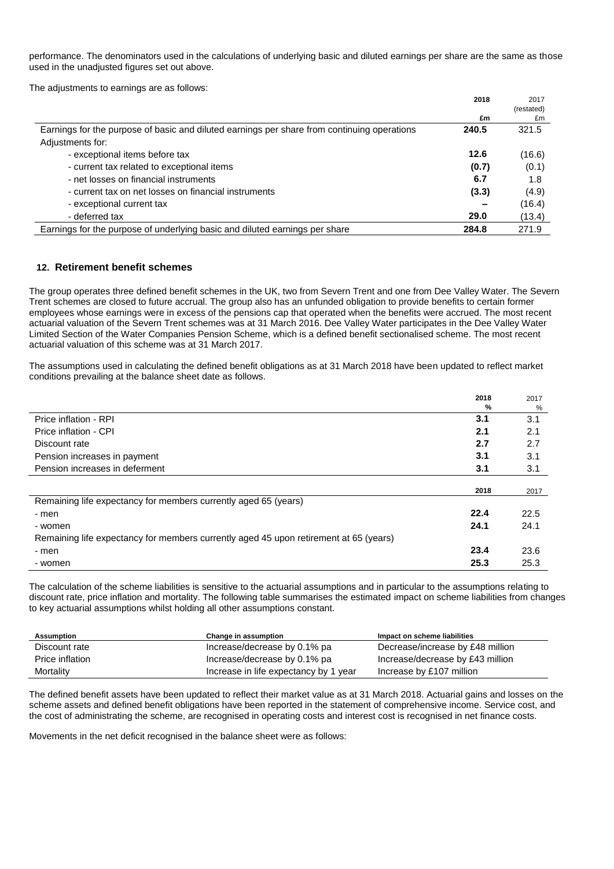performance. The denominators used in the calculations of underlying basic and diluted earnings per share are the same as those used in the unadjusted figures set out above.

The adjustments to earnings are as follows:

|                                                                                             | 2018  | 2017       |
|---------------------------------------------------------------------------------------------|-------|------------|
|                                                                                             |       | (restated) |
|                                                                                             | £m    | £m         |
| Earnings for the purpose of basic and diluted earnings per share from continuing operations | 240.5 | 321.5      |
| Adjustments for:                                                                            |       |            |
| - exceptional items before tax                                                              | 12.6  | (16.6)     |
| - current tax related to exceptional items                                                  | (0.7) | (0.1)      |
| - net losses on financial instruments                                                       | 6.7   | 1.8        |
| - current tax on net losses on financial instruments                                        | (3.3) | (4.9)      |
| - exceptional current tax                                                                   |       | (16.4)     |
| - deferred tax                                                                              | 29.0  | (13.4)     |
| Earnings for the purpose of underlying basic and diluted earnings per share                 | 284.8 | 271.9      |

### **12. Retirement benefit schemes**

The group operates three defined benefit schemes in the UK, two from Severn Trent and one from Dee Valley Water. The Severn Trent schemes are closed to future accrual. The group also has an unfunded obligation to provide benefits to certain former employees whose earnings were in excess of the pensions cap that operated when the benefits were accrued. The most recent actuarial valuation of the Severn Trent schemes was at 31 March 2016. Dee Valley Water participates in the Dee Valley Water Limited Section of the Water Companies Pension Scheme, which is a defined benefit sectionalised scheme. The most recent actuarial valuation of this scheme was at 31 March 2017.

The assumptions used in calculating the defined benefit obligations as at 31 March 2018 have been updated to reflect market conditions prevailing at the balance sheet date as follows.

|                                                                                       | 2018 | 2017 |
|---------------------------------------------------------------------------------------|------|------|
|                                                                                       | %    | %    |
| Price inflation - RPI                                                                 | 3.1  | 3.1  |
| Price inflation - CPI                                                                 | 2.1  | 2.1  |
| Discount rate                                                                         | 2.7  | 2.7  |
| Pension increases in payment                                                          | 3.1  | 3.1  |
| Pension increases in deferment                                                        | 3.1  | 3.1  |
|                                                                                       |      |      |
|                                                                                       | 2018 | 2017 |
| Remaining life expectancy for members currently aged 65 (years)                       |      |      |
| - men                                                                                 | 22.4 | 22.5 |
| - women                                                                               | 24.1 | 24.1 |
| Remaining life expectancy for members currently aged 45 upon retirement at 65 (years) |      |      |
| - men                                                                                 | 23.4 | 23.6 |
| - women                                                                               | 25.3 | 25.3 |

The calculation of the scheme liabilities is sensitive to the actuarial assumptions and in particular to the assumptions relating to discount rate, price inflation and mortality. The following table summarises the estimated impact on scheme liabilities from changes to key actuarial assumptions whilst holding all other assumptions constant.

| Assumption      | Change in assumption                  | Impact on scheme liabilities     |
|-----------------|---------------------------------------|----------------------------------|
| Discount rate   | Increase/decrease by 0.1% pa          | Decrease/increase by £48 million |
| Price inflation | Increase/decrease by 0.1% pa          | Increase/decrease by £43 million |
| Mortality       | Increase in life expectancy by 1 year | Increase by £107 million         |

The defined benefit assets have been updated to reflect their market value as at 31 March 2018. Actuarial gains and losses on the scheme assets and defined benefit obligations have been reported in the statement of comprehensive income. Service cost, and the cost of administrating the scheme, are recognised in operating costs and interest cost is recognised in net finance costs.

Movements in the net deficit recognised in the balance sheet were as follows: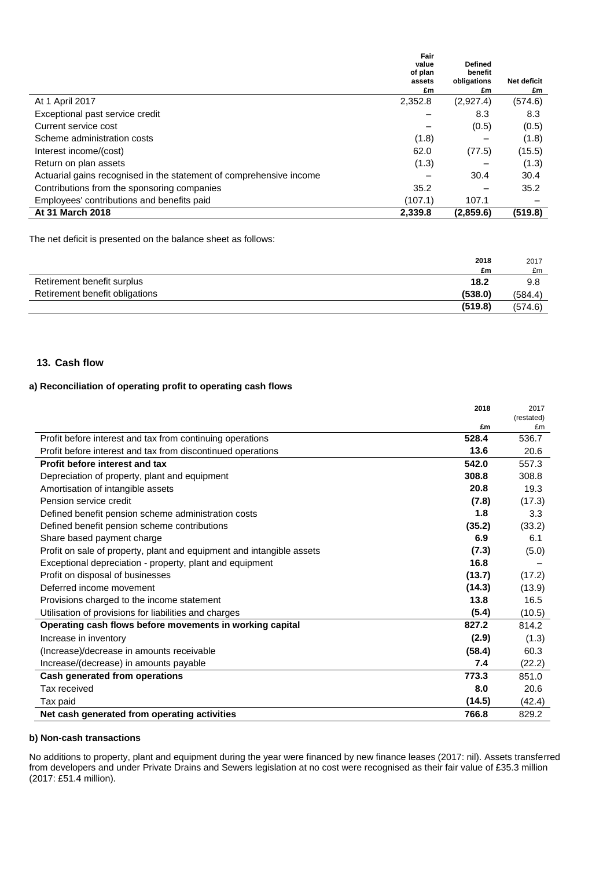|                                                                     | Fair<br>value<br>of plan<br>assets | <b>Defined</b><br>benefit<br>obligations | <b>Net deficit</b> |
|---------------------------------------------------------------------|------------------------------------|------------------------------------------|--------------------|
|                                                                     | £m                                 | £m                                       | £m                 |
| At 1 April 2017                                                     | 2,352.8                            | (2,927.4)                                | (574.6)            |
| Exceptional past service credit                                     |                                    | 8.3                                      | 8.3                |
| Current service cost                                                |                                    | (0.5)                                    | (0.5)              |
| Scheme administration costs                                         | (1.8)                              |                                          | (1.8)              |
| Interest income/(cost)                                              | 62.0                               | (77.5)                                   | (15.5)             |
| Return on plan assets                                               | (1.3)                              |                                          | (1.3)              |
| Actuarial gains recognised in the statement of comprehensive income |                                    | 30.4                                     | 30.4               |
| Contributions from the sponsoring companies                         | 35.2                               |                                          | 35.2               |
| Employees' contributions and benefits paid                          | (107.1)                            | 107.1                                    |                    |
| At 31 March 2018                                                    | 2.339.8                            | (2,859.6)                                | (519.8)            |

The net deficit is presented on the balance sheet as follows:

|                                | 2018    | 2017    |
|--------------------------------|---------|---------|
|                                | £m      | £m      |
| Retirement benefit surplus     | 18.2    | 9.8     |
| Retirement benefit obligations | (538.0) | (584.4) |
|                                | (519.8) | (574.6) |

### **13. Cash flow**

### **a) Reconciliation of operating profit to operating cash flows**

|                                                                       | 2018   | 2017             |
|-----------------------------------------------------------------------|--------|------------------|
|                                                                       | £m     | (restated)<br>£m |
| Profit before interest and tax from continuing operations             | 528.4  | 536.7            |
|                                                                       | 13.6   | 20.6             |
| Profit before interest and tax from discontinued operations           |        |                  |
| Profit before interest and tax                                        | 542.0  | 557.3            |
| Depreciation of property, plant and equipment                         | 308.8  | 308.8            |
| Amortisation of intangible assets                                     | 20.8   | 19.3             |
| Pension service credit                                                | (7.8)  | (17.3)           |
| Defined benefit pension scheme administration costs                   | 1.8    | 3.3              |
| Defined benefit pension scheme contributions                          | (35.2) | (33.2)           |
| Share based payment charge                                            | 6.9    | 6.1              |
| Profit on sale of property, plant and equipment and intangible assets | (7.3)  | (5.0)            |
| Exceptional depreciation - property, plant and equipment              | 16.8   |                  |
| Profit on disposal of businesses                                      | (13.7) | (17.2)           |
| Deferred income movement                                              | (14.3) | (13.9)           |
| Provisions charged to the income statement                            | 13.8   | 16.5             |
| Utilisation of provisions for liabilities and charges                 | (5.4)  | (10.5)           |
| Operating cash flows before movements in working capital              | 827.2  | 814.2            |
| Increase in inventory                                                 | (2.9)  | (1.3)            |
| (Increase)/decrease in amounts receivable                             | (58.4) | 60.3             |
| Increase/(decrease) in amounts payable                                | 7.4    | (22.2)           |
| Cash generated from operations                                        | 773.3  | 851.0            |
| Tax received                                                          | 8.0    | 20.6             |
| Tax paid                                                              | (14.5) | (42.4)           |
| Net cash generated from operating activities                          | 766.8  | 829.2            |

#### **b) Non-cash transactions**

No additions to property, plant and equipment during the year were financed by new finance leases (2017: nil). Assets transferred from developers and under Private Drains and Sewers legislation at no cost were recognised as their fair value of £35.3 million (2017: £51.4 million).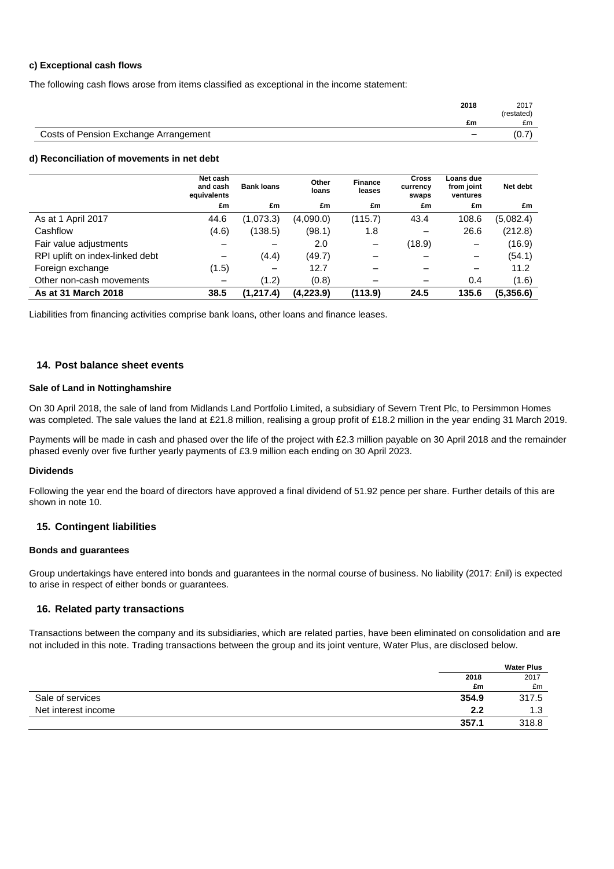#### **c) Exceptional cash flows**

The following cash flows arose from items classified as exceptional in the income statement:

|                                       | 2018                     | 2017<br>(restated) |
|---------------------------------------|--------------------------|--------------------|
|                                       | £m                       | £m                 |
| Costs of Pension Exchange Arrangement | $\overline{\phantom{0}}$ | (0.7)              |

#### **d) Reconciliation of movements in net debt**

|                                 | Net cash<br>and cash<br>equivalents | <b>Bank loans</b> | Other<br>loans | <b>Finance</b><br>leases | <b>Cross</b><br>currency<br>swaps | Loans due<br>from joint<br>ventures | Net debt  |
|---------------------------------|-------------------------------------|-------------------|----------------|--------------------------|-----------------------------------|-------------------------------------|-----------|
|                                 | £m                                  | £m                | £m             | £m                       | £m                                | £m                                  | £m        |
| As at 1 April 2017              | 44.6                                | (1,073.3)         | (4,090.0)      | (115.7)                  | 43.4                              | 108.6                               | (5,082.4) |
| Cashflow                        | (4.6)                               | (138.5)           | (98.1)         | 1.8                      | $\overline{\phantom{m}}$          | 26.6                                | (212.8)   |
| Fair value adjustments          |                                     |                   | 2.0            |                          | (18.9)                            | -                                   | (16.9)    |
| RPI uplift on index-linked debt | $\overline{\phantom{0}}$            | (4.4)             | (49.7)         |                          |                                   |                                     | (54.1)    |
| Foreign exchange                | (1.5)                               | $\qquad \qquad$   | 12.7           |                          |                                   |                                     | 11.2      |
| Other non-cash movements        | $\overline{\phantom{m}}$            | (1.2)             | (0.8)          |                          |                                   | 0.4                                 | (1.6)     |
| As at 31 March 2018             | 38.5                                | (1, 217.4)        | (4,223.9)      | (113.9)                  | 24.5                              | 135.6                               | (5,356.6) |

Liabilities from financing activities comprise bank loans, other loans and finance leases.

#### **14. Post balance sheet events**

#### **Sale of Land in Nottinghamshire**

On 30 April 2018, the sale of land from Midlands Land Portfolio Limited, a subsidiary of Severn Trent Plc, to Persimmon Homes was completed. The sale values the land at £21.8 million, realising a group profit of £18.2 million in the year ending 31 March 2019.

Payments will be made in cash and phased over the life of the project with £2.3 million payable on 30 April 2018 and the remainder phased evenly over five further yearly payments of £3.9 million each ending on 30 April 2023.

#### **Dividends**

Following the year end the board of directors have approved a final dividend of 51.92 pence per share. Further details of this are shown in note 10.

#### **15. Contingent liabilities**

#### **Bonds and guarantees**

Group undertakings have entered into bonds and guarantees in the normal course of business. No liability (2017: £nil) is expected to arise in respect of either bonds or guarantees.

#### **16. Related party transactions**

Transactions between the company and its subsidiaries, which are related parties, have been eliminated on consolidation and are not included in this note. Trading transactions between the group and its joint venture, Water Plus, are disclosed below.

|                     |       | <b>Water Plus</b> |
|---------------------|-------|-------------------|
|                     | 2018  | 2017              |
|                     | £m    | £m                |
| Sale of services    | 354.9 | 317.5             |
| Net interest income | 2.2   | 1.3               |
|                     | 357.1 | 318.8             |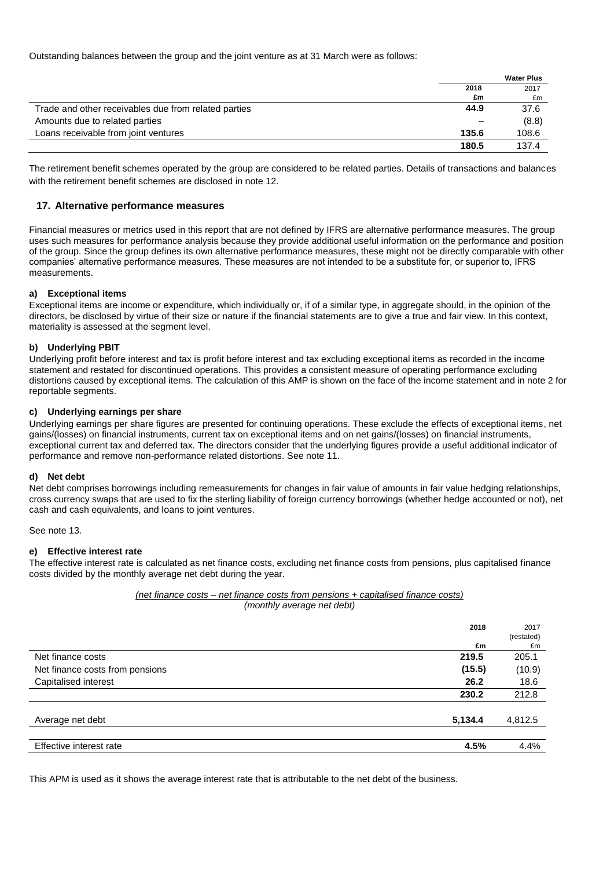Outstanding balances between the group and the joint venture as at 31 March were as follows:

|                                                      |       | <b>Water Plus</b> |
|------------------------------------------------------|-------|-------------------|
|                                                      | 2018  | 2017              |
|                                                      | £m    | £m                |
| Trade and other receivables due from related parties | 44.9  | 37.6              |
| Amounts due to related parties                       |       | (8.8)             |
| Loans receivable from joint ventures                 | 135.6 | 108.6             |
|                                                      | 180.5 | 137.4             |

The retirement benefit schemes operated by the group are considered to be related parties. Details of transactions and balances with the retirement benefit schemes are disclosed in note 12.

### **17. Alternative performance measures**

Financial measures or metrics used in this report that are not defined by IFRS are alternative performance measures. The group uses such measures for performance analysis because they provide additional useful information on the performance and position of the group. Since the group defines its own alternative performance measures, these might not be directly comparable with other companies' alternative performance measures. These measures are not intended to be a substitute for, or superior to, IFRS measurements.

#### **a) Exceptional items**

Exceptional items are income or expenditure, which individually or, if of a similar type, in aggregate should, in the opinion of the directors, be disclosed by virtue of their size or nature if the financial statements are to give a true and fair view. In this context, materiality is assessed at the segment level.

#### **b) Underlying PBIT**

Underlying profit before interest and tax is profit before interest and tax excluding exceptional items as recorded in the income statement and restated for discontinued operations. This provides a consistent measure of operating performance excluding distortions caused by exceptional items. The calculation of this AMP is shown on the face of the income statement and in note 2 for reportable segments.

#### **c) Underlying earnings per share**

Underlying earnings per share figures are presented for continuing operations. These exclude the effects of exceptional items, net gains/(losses) on financial instruments, current tax on exceptional items and on net gains/(losses) on financial instruments, exceptional current tax and deferred tax. The directors consider that the underlying figures provide a useful additional indicator of performance and remove non-performance related distortions. See note 11.

#### **d) Net debt**

Net debt comprises borrowings including remeasurements for changes in fair value of amounts in fair value hedging relationships, cross currency swaps that are used to fix the sterling liability of foreign currency borrowings (whether hedge accounted or not), net cash and cash equivalents, and loans to joint ventures.

See note 13.

### **e) Effective interest rate**

The effective interest rate is calculated as net finance costs, excluding net finance costs from pensions, plus capitalised finance costs divided by the monthly average net debt during the year.

#### *(net finance costs – net finance costs from pensions + capitalised finance costs) (monthly average net debt)*

|                                 | 2018    | 2017       |
|---------------------------------|---------|------------|
|                                 |         | (restated) |
|                                 | £m      | £m         |
| Net finance costs               | 219.5   | 205.1      |
| Net finance costs from pensions | (15.5)  | (10.9)     |
| Capitalised interest            | 26.2    | 18.6       |
|                                 | 230.2   | 212.8      |
| Average net debt                | 5,134.4 | 4,812.5    |
|                                 |         |            |
| Effective interest rate         | 4.5%    | 4.4%       |

This APM is used as it shows the average interest rate that is attributable to the net debt of the business.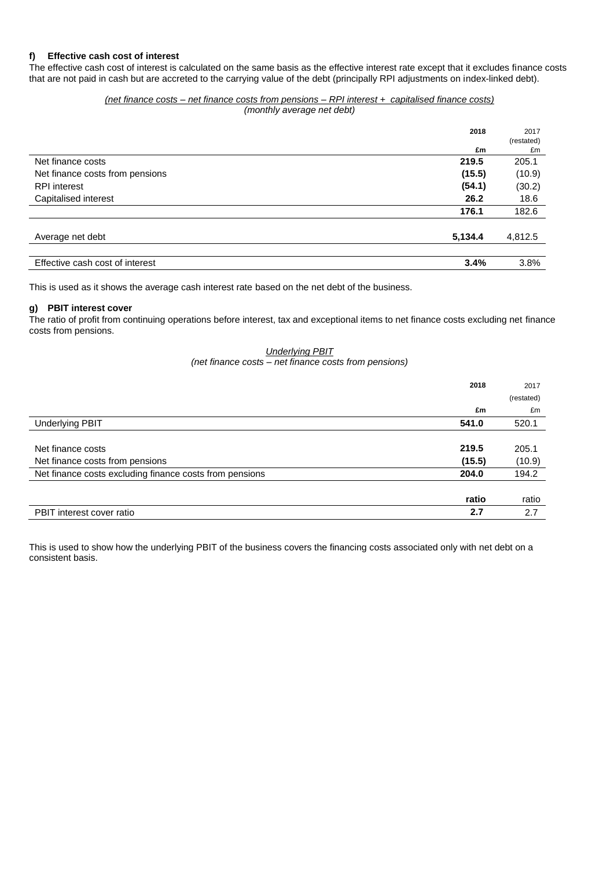### **f) Effective cash cost of interest**

The effective cash cost of interest is calculated on the same basis as the effective interest rate except that it excludes finance costs that are not paid in cash but are accreted to the carrying value of the debt (principally RPI adjustments on index-linked debt).

#### *(net finance costs – net finance costs from pensions – RPI interest + capitalised finance costs) (monthly average net debt)*

|                                 | 2018<br>£m | 2017<br>(restated)<br>£m |
|---------------------------------|------------|--------------------------|
| Net finance costs               | 219.5      | 205.1                    |
| Net finance costs from pensions | (15.5)     | (10.9)                   |
| <b>RPI</b> interest             | (54.1)     | (30.2)                   |
| Capitalised interest            | 26.2       | 18.6                     |
|                                 | 176.1      | 182.6                    |
| Average net debt                | 5,134.4    | 4,812.5                  |
| Effective cash cost of interest | 3.4%       | 3.8%                     |

This is used as it shows the average cash interest rate based on the net debt of the business.

### **g) PBIT interest cover**

The ratio of profit from continuing operations before interest, tax and exceptional items to net finance costs excluding net finance costs from pensions.

#### *Underlying PBIT (net finance costs – net finance costs from pensions)*

|                                                         | 2018   | 2017       |
|---------------------------------------------------------|--------|------------|
|                                                         |        | (restated) |
|                                                         | £m     | £m         |
| <b>Underlying PBIT</b>                                  | 541.0  | 520.1      |
|                                                         |        |            |
| Net finance costs                                       | 219.5  | 205.1      |
| Net finance costs from pensions                         | (15.5) | (10.9)     |
| Net finance costs excluding finance costs from pensions | 204.0  | 194.2      |
|                                                         |        |            |
|                                                         | ratio  | ratio      |
| PBIT interest cover ratio                               | 2.7    | 2.7        |

This is used to show how the underlying PBIT of the business covers the financing costs associated only with net debt on a consistent basis.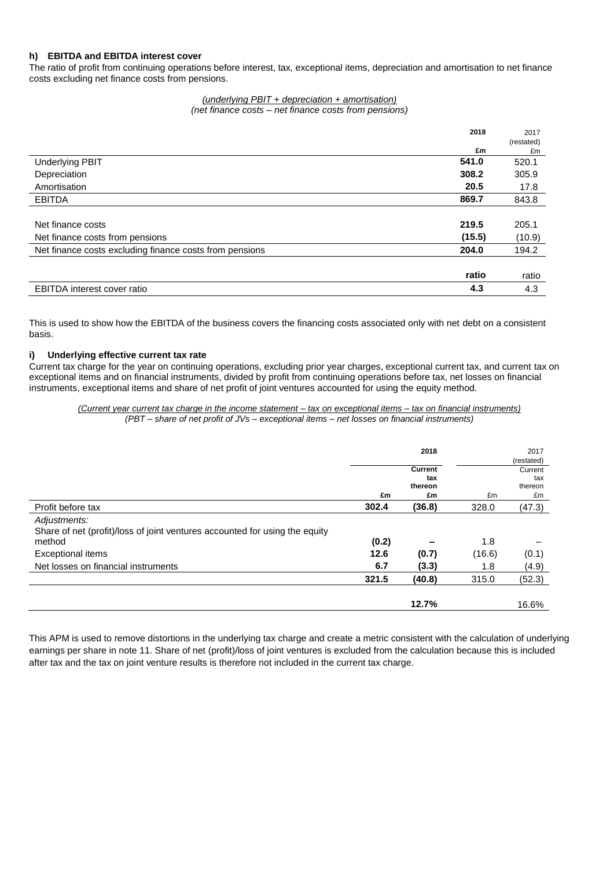### **h) EBITDA and EBITDA interest cover**

The ratio of profit from continuing operations before interest, tax, exceptional items, depreciation and amortisation to net finance costs excluding net finance costs from pensions.

> *(underlying PBIT + depreciation + amortisation) (net finance costs – net finance costs from pensions)*

|                                                         | 2018   | 2017       |
|---------------------------------------------------------|--------|------------|
|                                                         |        | (restated) |
|                                                         | £m     | £m         |
| <b>Underlying PBIT</b>                                  | 541.0  | 520.1      |
| Depreciation                                            | 308.2  | 305.9      |
| Amortisation                                            | 20.5   | 17.8       |
| <b>EBITDA</b>                                           | 869.7  | 843.8      |
|                                                         |        |            |
| Net finance costs                                       | 219.5  | 205.1      |
| Net finance costs from pensions                         | (15.5) | (10.9)     |
| Net finance costs excluding finance costs from pensions | 204.0  | 194.2      |
|                                                         |        |            |
|                                                         | ratio  | ratio      |
| <b>EBITDA</b> interest cover ratio                      | 4.3    | 4.3        |

This is used to show how the EBITDA of the business covers the financing costs associated only with net debt on a consistent basis.

### **i) Underlying effective current tax rate**

Current tax charge for the year on continuing operations, excluding prior year charges, exceptional current tax, and current tax on exceptional items and on financial instruments, divided by profit from continuing operations before tax, net losses on financial instruments, exceptional items and share of net profit of joint ventures accounted for using the equity method.

*(Current year current tax charge in the income statement – tax on exceptional items – tax on financial instruments) (PBT – share of net profit of JVs – exceptional items – net losses on financial instruments)*

|                                                                                                                                                                          |                      | 2018                            |                      | 2017<br>(restated)              |
|--------------------------------------------------------------------------------------------------------------------------------------------------------------------------|----------------------|---------------------------------|----------------------|---------------------------------|
|                                                                                                                                                                          | £m                   | Current<br>tax<br>thereon<br>£m | £m                   | Current<br>tax<br>thereon<br>£m |
| Profit before tax                                                                                                                                                        | 302.4                | (36.8)                          | 328.0                | (47.3)                          |
| Adjustments:<br>Share of net (profit)/loss of joint ventures accounted for using the equity<br>method<br><b>Exceptional items</b><br>Net losses on financial instruments | (0.2)<br>12.6<br>6.7 | (0.7)<br>(3.3)                  | 1.8<br>(16.6)<br>1.8 | (0.1)<br>(4.9)                  |
|                                                                                                                                                                          | 321.5                | (40.8)                          | 315.0                | (52.3)                          |
|                                                                                                                                                                          |                      | 12.7%                           |                      | 16.6%                           |

This APM is used to remove distortions in the underlying tax charge and create a metric consistent with the calculation of underlying earnings per share in note 11. Share of net (profit)/loss of joint ventures is excluded from the calculation because this is included after tax and the tax on joint venture results is therefore not included in the current tax charge.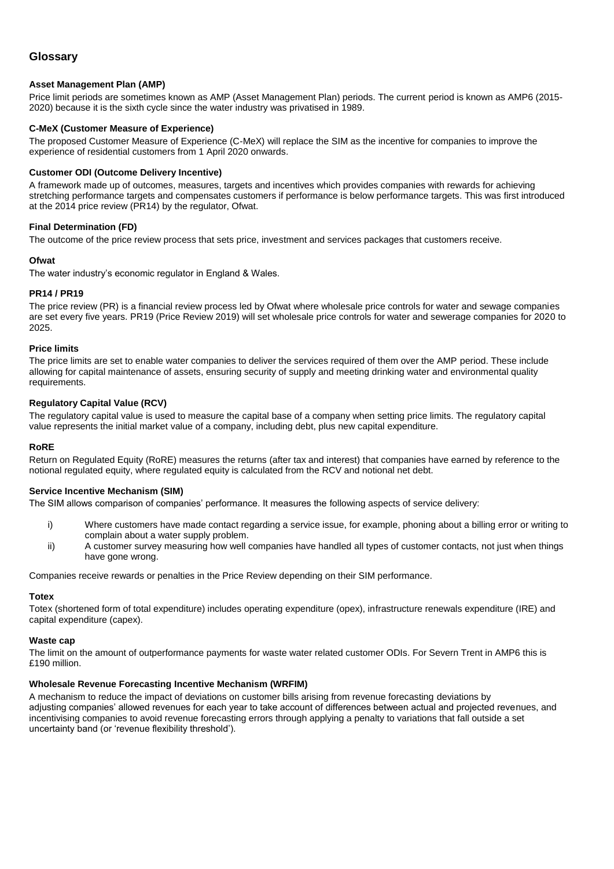## **Glossary**

#### **Asset Management Plan (AMP)**

Price limit periods are sometimes known as AMP (Asset Management Plan) periods. The current period is known as AMP6 (2015- 2020) because it is the sixth cycle since the water industry was privatised in 1989.

#### **C-MeX (Customer Measure of Experience)**

The proposed Customer Measure of Experience (C-MeX) will replace the SIM as the incentive for companies to improve the experience of residential customers from 1 April 2020 onwards.

#### **Customer ODI (Outcome Delivery Incentive)**

A framework made up of outcomes, measures, targets and incentives which provides companies with rewards for achieving stretching performance targets and compensates customers if performance is below performance targets. This was first introduced at the 2014 price review (PR14) by the regulator, Ofwat.

#### **Final Determination (FD)**

The outcome of the price review process that sets price, investment and services packages that customers receive.

#### **Ofwat**

The water industry's economic regulator in England & Wales.

#### **PR14 / PR19**

The price review (PR) is a financial review process led by Ofwat where wholesale price controls for water and sewage companies are set every five years. PR19 (Price Review 2019) will set wholesale price controls for water and sewerage companies for 2020 to 2025.

#### **Price limits**

The price limits are set to enable water companies to deliver the services required of them over the AMP period. These include allowing for capital maintenance of assets, ensuring security of supply and meeting drinking water and environmental quality requirements.

#### **Regulatory Capital Value (RCV)**

The regulatory capital value is used to measure the capital base of a company when setting price limits. The regulatory capital value represents the initial market value of a company, including debt, plus new capital expenditure.

#### **RoRE**

Return on Regulated Equity (RoRE) measures the returns (after tax and interest) that companies have earned by reference to the notional regulated equity, where regulated equity is calculated from the RCV and notional net debt.

#### **Service Incentive Mechanism (SIM)**

The SIM allows comparison of companies' performance. It measures the following aspects of service delivery:

- i) Where customers have made contact regarding a service issue, for example, phoning about a billing error or writing to complain about a water supply problem.
- ii) A customer survey measuring how well companies have handled all types of customer contacts, not just when things have gone wrong.

Companies receive rewards or penalties in the Price Review depending on their SIM performance.

#### **Totex**

Totex (shortened form of total expenditure) includes operating expenditure (opex), infrastructure renewals expenditure (IRE) and capital expenditure (capex).

#### **Waste cap**

The limit on the amount of outperformance payments for waste water related customer ODIs. For Severn Trent in AMP6 this is £190 million.

#### **Wholesale Revenue Forecasting Incentive Mechanism (WRFIM)**

A mechanism to reduce the impact of deviations on customer bills arising from revenue forecasting deviations by adjusting companies' allowed revenues for each year to take account of differences between actual and projected revenues, and incentivising companies to avoid revenue forecasting errors through applying a penalty to variations that fall outside a set uncertainty band (or 'revenue flexibility threshold').